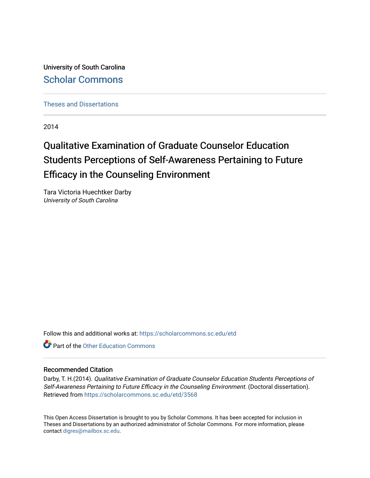University of South Carolina [Scholar Commons](https://scholarcommons.sc.edu/) 

[Theses and Dissertations](https://scholarcommons.sc.edu/etd)

2014

# Qualitative Examination of Graduate Counselor Education Students Perceptions of Self-Awareness Pertaining to Future Efficacy in the Counseling Environment

Tara Victoria Huechtker Darby University of South Carolina

Follow this and additional works at: [https://scholarcommons.sc.edu/etd](https://scholarcommons.sc.edu/etd?utm_source=scholarcommons.sc.edu%2Fetd%2F3568&utm_medium=PDF&utm_campaign=PDFCoverPages)

**C** Part of the Other Education Commons

#### Recommended Citation

Darby, T. H.(2014). Qualitative Examination of Graduate Counselor Education Students Perceptions of Self-Awareness Pertaining to Future Efficacy in the Counseling Environment. (Doctoral dissertation). Retrieved from [https://scholarcommons.sc.edu/etd/3568](https://scholarcommons.sc.edu/etd/3568?utm_source=scholarcommons.sc.edu%2Fetd%2F3568&utm_medium=PDF&utm_campaign=PDFCoverPages) 

This Open Access Dissertation is brought to you by Scholar Commons. It has been accepted for inclusion in Theses and Dissertations by an authorized administrator of Scholar Commons. For more information, please contact [digres@mailbox.sc.edu.](mailto:digres@mailbox.sc.edu)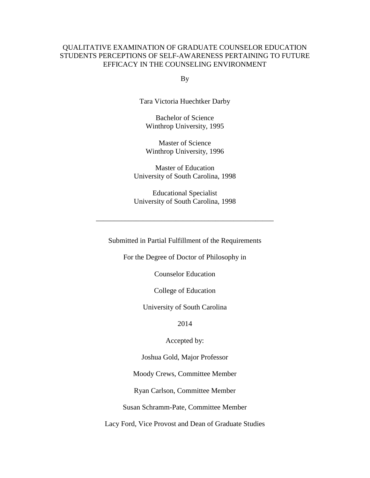#### QUALITATIVE EXAMINATION OF GRADUATE COUNSELOR EDUCATION STUDENTS PERCEPTIONS OF SELF-AWARENESS PERTAINING TO FUTURE EFFICACY IN THE COUNSELING ENVIRONMENT

By

Tara Victoria Huechtker Darby

Bachelor of Science Winthrop University, 1995

Master of Science Winthrop University, 1996

Master of Education University of South Carolina, 1998

Educational Specialist University of South Carolina, 1998

\_\_\_\_\_\_\_\_\_\_\_\_\_\_\_\_\_\_\_\_\_\_\_\_\_\_\_\_\_\_\_\_\_\_\_\_\_\_\_\_\_\_\_\_\_\_\_\_\_

Submitted in Partial Fulfillment of the Requirements

For the Degree of Doctor of Philosophy in

Counselor Education

College of Education

University of South Carolina

2014

Accepted by:

Joshua Gold, Major Professor

Moody Crews, Committee Member

Ryan Carlson, Committee Member

Susan Schramm-Pate, Committee Member

Lacy Ford, Vice Provost and Dean of Graduate Studies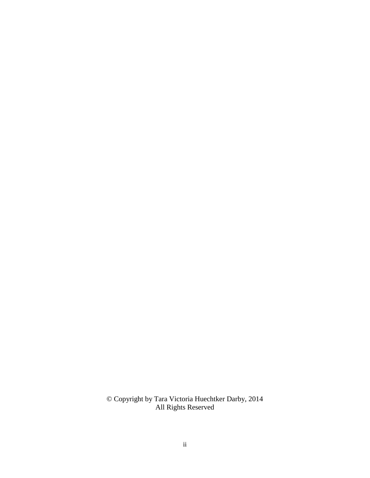© Copyright by Tara Victoria Huechtker Darby, 2014 All Rights Reserved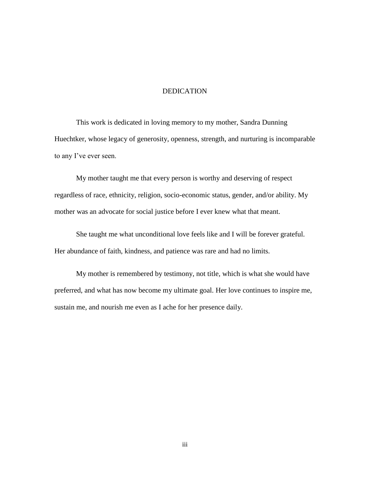#### DEDICATION

This work is dedicated in loving memory to my mother, Sandra Dunning Huechtker, whose legacy of generosity, openness, strength, and nurturing is incomparable to any I've ever seen.

My mother taught me that every person is worthy and deserving of respect regardless of race, ethnicity, religion, socio-economic status, gender, and/or ability. My mother was an advocate for social justice before I ever knew what that meant.

She taught me what unconditional love feels like and I will be forever grateful. Her abundance of faith, kindness, and patience was rare and had no limits.

My mother is remembered by testimony, not title, which is what she would have preferred, and what has now become my ultimate goal. Her love continues to inspire me, sustain me, and nourish me even as I ache for her presence daily.

iii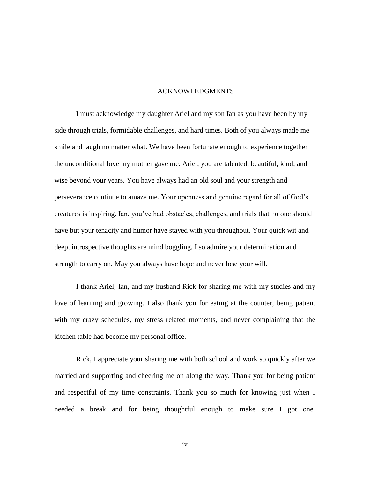#### ACKNOWLEDGMENTS

I must acknowledge my daughter Ariel and my son Ian as you have been by my side through trials, formidable challenges, and hard times. Both of you always made me smile and laugh no matter what. We have been fortunate enough to experience together the unconditional love my mother gave me. Ariel, you are talented, beautiful, kind, and wise beyond your years. You have always had an old soul and your strength and perseverance continue to amaze me. Your openness and genuine regard for all of God's creatures is inspiring. Ian, you've had obstacles, challenges, and trials that no one should have but your tenacity and humor have stayed with you throughout. Your quick wit and deep, introspective thoughts are mind boggling. I so admire your determination and strength to carry on. May you always have hope and never lose your will.

I thank Ariel, Ian, and my husband Rick for sharing me with my studies and my love of learning and growing. I also thank you for eating at the counter, being patient with my crazy schedules, my stress related moments, and never complaining that the kitchen table had become my personal office.

Rick, I appreciate your sharing me with both school and work so quickly after we married and supporting and cheering me on along the way. Thank you for being patient and respectful of my time constraints. Thank you so much for knowing just when I needed a break and for being thoughtful enough to make sure I got one.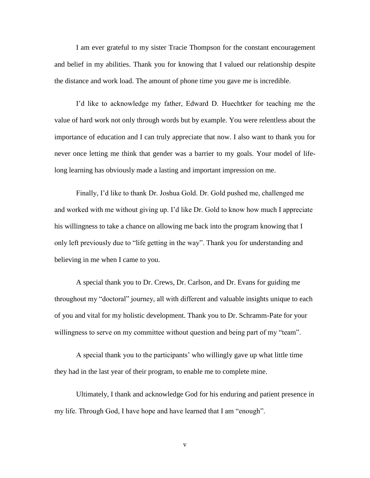I am ever grateful to my sister Tracie Thompson for the constant encouragement and belief in my abilities. Thank you for knowing that I valued our relationship despite the distance and work load. The amount of phone time you gave me is incredible.

I'd like to acknowledge my father, Edward D. Huechtker for teaching me the value of hard work not only through words but by example. You were relentless about the importance of education and I can truly appreciate that now. I also want to thank you for never once letting me think that gender was a barrier to my goals. Your model of lifelong learning has obviously made a lasting and important impression on me.

Finally, I'd like to thank Dr. Joshua Gold. Dr. Gold pushed me, challenged me and worked with me without giving up. I'd like Dr. Gold to know how much I appreciate his willingness to take a chance on allowing me back into the program knowing that I only left previously due to "life getting in the way". Thank you for understanding and believing in me when I came to you.

A special thank you to Dr. Crews, Dr. Carlson, and Dr. Evans for guiding me throughout my "doctoral" journey, all with different and valuable insights unique to each of you and vital for my holistic development. Thank you to Dr. Schramm-Pate for your willingness to serve on my committee without question and being part of my "team".

A special thank you to the participants' who willingly gave up what little time they had in the last year of their program, to enable me to complete mine.

Ultimately, I thank and acknowledge God for his enduring and patient presence in my life. Through God, I have hope and have learned that I am "enough".

v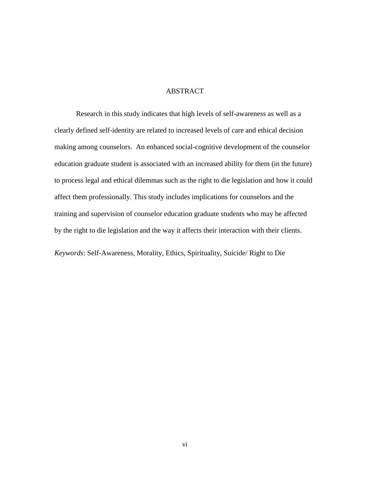#### ABSTRACT

Research in this study indicates that high levels of self-awareness as well as a clearly defined self-identity are related to increased levels of care and ethical decision making among counselors. An enhanced social-cognitive development of the counselor education graduate student is associated with an increased ability for them (in the future) to process legal and ethical dilemmas such as the right to die legislation and how it could affect them professionally. This study includes implications for counselors and the training and supervision of counselor education graduate students who may be affected by the right to die legislation and the way it affects their interaction with their clients.

*Keywords*: Self-Awareness, Morality, Ethics, Spirituality, Suicide/ Right to Die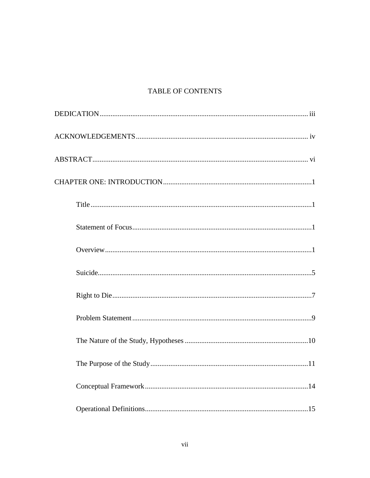### TABLE OF CONTENTS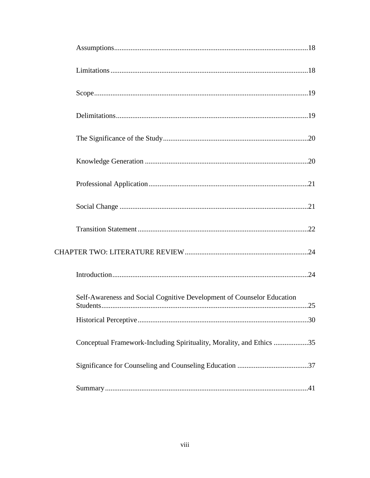| Self-Awareness and Social Cognitive Development of Counselor Education |  |
|------------------------------------------------------------------------|--|
|                                                                        |  |
| Conceptual Framework-Including Spirituality, Morality, and Ethics 35   |  |
|                                                                        |  |
|                                                                        |  |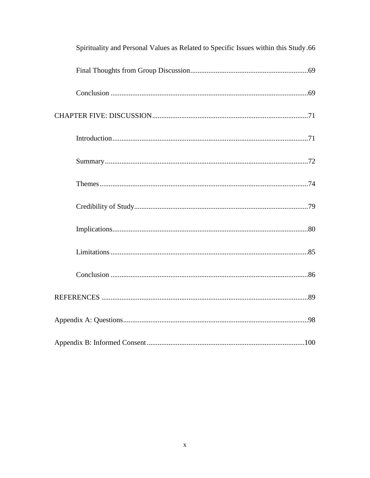| 66. Spirituality and Personal Values as Related to Specific Issues within this Study |
|--------------------------------------------------------------------------------------|
|                                                                                      |
|                                                                                      |
|                                                                                      |
|                                                                                      |
|                                                                                      |
|                                                                                      |
|                                                                                      |
|                                                                                      |
|                                                                                      |
|                                                                                      |
|                                                                                      |
|                                                                                      |
|                                                                                      |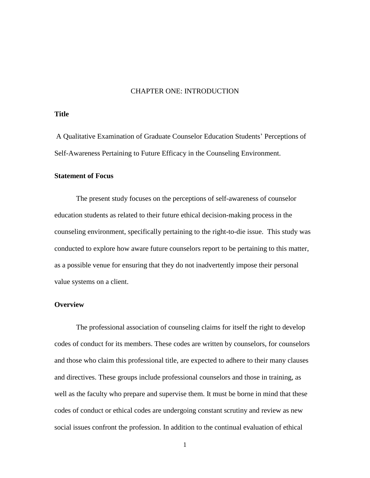#### CHAPTER ONE: INTRODUCTION

#### **Title**

A Qualitative Examination of Graduate Counselor Education Students' Perceptions of Self-Awareness Pertaining to Future Efficacy in the Counseling Environment.

#### **Statement of Focus**

The present study focuses on the perceptions of self-awareness of counselor education students as related to their future ethical decision-making process in the counseling environment, specifically pertaining to the right-to-die issue. This study was conducted to explore how aware future counselors report to be pertaining to this matter, as a possible venue for ensuring that they do not inadvertently impose their personal value systems on a client.

#### **Overview**

The professional association of counseling claims for itself the right to develop codes of conduct for its members. These codes are written by counselors, for counselors and those who claim this professional title, are expected to adhere to their many clauses and directives. These groups include professional counselors and those in training, as well as the faculty who prepare and supervise them. It must be borne in mind that these codes of conduct or ethical codes are undergoing constant scrutiny and review as new social issues confront the profession. In addition to the continual evaluation of ethical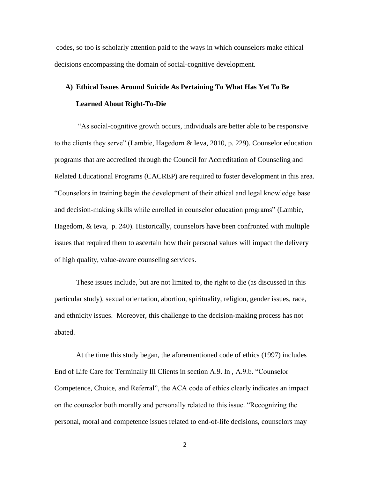codes, so too is scholarly attention paid to the ways in which counselors make ethical decisions encompassing the domain of social-cognitive development.

## **A) Ethical Issues Around Suicide As Pertaining To What Has Yet To Be Learned About Right-To-Die**

―As social-cognitive growth occurs, individuals are better able to be responsive to the clients they serve" (Lambie, Hagedorn & Ieva, 2010, p. 229). Counselor education programs that are accredited through the Council for Accreditation of Counseling and Related Educational Programs (CACREP) are required to foster development in this area. ―Counselors in training begin the development of their ethical and legal knowledge base and decision-making skills while enrolled in counselor education programs" (Lambie, Hagedom, & Ieva, p. 240). Historically, counselors have been confronted with multiple issues that required them to ascertain how their personal values will impact the delivery of high quality, value-aware counseling services.

These issues include, but are not limited to, the right to die (as discussed in this particular study), sexual orientation, abortion, spirituality, religion, gender issues, race, and ethnicity issues. Moreover, this challenge to the decision-making process has not abated.

At the time this study began, the aforementioned code of ethics (1997) includes End of Life Care for Terminally Ill Clients in section A.9. In, A.9.b. "Counselor Competence, Choice, and Referral", the ACA code of ethics clearly indicates an impact on the counselor both morally and personally related to this issue. "Recognizing the personal, moral and competence issues related to end-of-life decisions, counselors may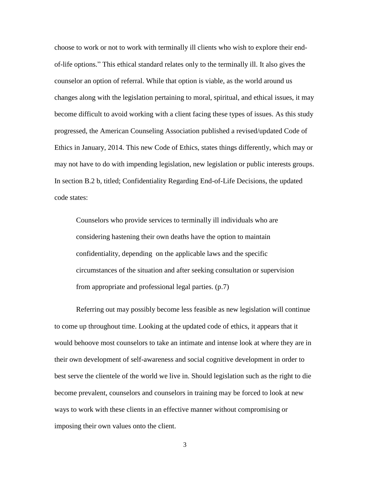choose to work or not to work with terminally ill clients who wish to explore their endof-life options.‖ This ethical standard relates only to the terminally ill. It also gives the counselor an option of referral. While that option is viable, as the world around us changes along with the legislation pertaining to moral, spiritual, and ethical issues, it may become difficult to avoid working with a client facing these types of issues. As this study progressed, the American Counseling Association published a revised/updated Code of Ethics in January, 2014. This new Code of Ethics, states things differently, which may or may not have to do with impending legislation, new legislation or public interests groups. In section B.2 b, titled; Confidentiality Regarding End-of-Life Decisions, the updated code states:

Counselors who provide services to terminally ill individuals who are considering hastening their own deaths have the option to maintain confidentiality, depending on the applicable laws and the specific circumstances of the situation and after seeking consultation or supervision from appropriate and professional legal parties. (p.7)

Referring out may possibly become less feasible as new legislation will continue to come up throughout time. Looking at the updated code of ethics, it appears that it would behoove most counselors to take an intimate and intense look at where they are in their own development of self-awareness and social cognitive development in order to best serve the clientele of the world we live in. Should legislation such as the right to die become prevalent, counselors and counselors in training may be forced to look at new ways to work with these clients in an effective manner without compromising or imposing their own values onto the client.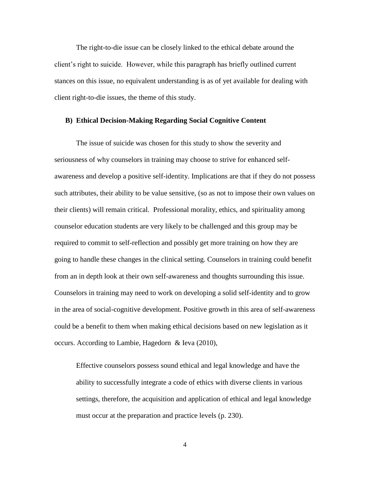The right-to-die issue can be closely linked to the ethical debate around the client's right to suicide. However, while this paragraph has briefly outlined current stances on this issue, no equivalent understanding is as of yet available for dealing with client right-to-die issues, the theme of this study.

#### **B) Ethical Decision-Making Regarding Social Cognitive Content**

The issue of suicide was chosen for this study to show the severity and seriousness of why counselors in training may choose to strive for enhanced selfawareness and develop a positive self-identity. Implications are that if they do not possess such attributes, their ability to be value sensitive, (so as not to impose their own values on their clients) will remain critical. Professional morality, ethics, and spirituality among counselor education students are very likely to be challenged and this group may be required to commit to self-reflection and possibly get more training on how they are going to handle these changes in the clinical setting. Counselors in training could benefit from an in depth look at their own self-awareness and thoughts surrounding this issue. Counselors in training may need to work on developing a solid self-identity and to grow in the area of social-cognitive development. Positive growth in this area of self-awareness could be a benefit to them when making ethical decisions based on new legislation as it occurs. According to Lambie, Hagedorn & Ieva (2010),

Effective counselors possess sound ethical and legal knowledge and have the ability to successfully integrate a code of ethics with diverse clients in various settings, therefore, the acquisition and application of ethical and legal knowledge must occur at the preparation and practice levels (p. 230).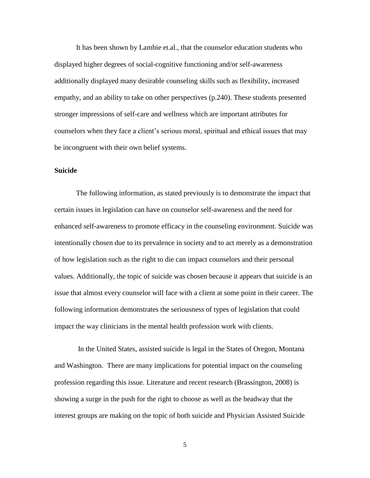It has been shown by Lambie et.al., that the counselor education students who displayed higher degrees of social-cognitive functioning and/or self-awareness additionally displayed many desirable counseling skills such as flexibility, increased empathy, and an ability to take on other perspectives (p.240). These students presented stronger impressions of self-care and wellness which are important attributes for counselors when they face a client's serious moral, spiritual and ethical issues that may be incongruent with their own belief systems.

#### **Suicide**

The following information, as stated previously is to demonstrate the impact that certain issues in legislation can have on counselor self-awareness and the need for enhanced self-awareness to promote efficacy in the counseling environment. Suicide was intentionally chosen due to its prevalence in society and to act merely as a demonstration of how legislation such as the right to die can impact counselors and their personal values. Additionally, the topic of suicide was chosen because it appears that suicide is an issue that almost every counselor will face with a client at some point in their career. The following information demonstrates the seriousness of types of legislation that could impact the way clinicians in the mental health profession work with clients.

In the United States, assisted suicide is legal in the States of Oregon, Montana and Washington. There are many implications for potential impact on the counseling profession regarding this issue. Literature and recent research (Brassington, 2008) is showing a surge in the push for the right to choose as well as the headway that the interest groups are making on the topic of both suicide and Physician Assisted Suicide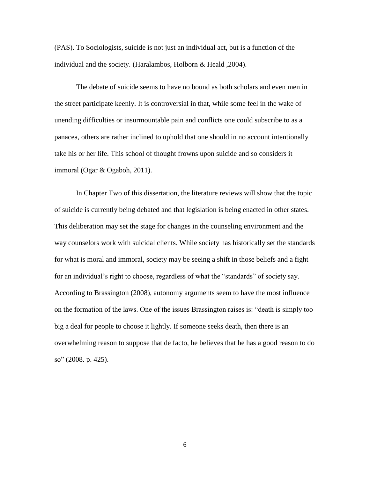(PAS). To Sociologists, suicide is not just an individual act, but is a function of the individual and the society. (Haralambos, Holborn & Heald ,2004).

The debate of suicide seems to have no bound as both scholars and even men in the street participate keenly. It is controversial in that, while some feel in the wake of unending difficulties or insurmountable pain and conflicts one could subscribe to as a panacea, others are rather inclined to uphold that one should in no account intentionally take his or her life. This school of thought frowns upon suicide and so considers it immoral (Ogar & Ogaboh, 2011).

In Chapter Two of this dissertation, the literature reviews will show that the topic of suicide is currently being debated and that legislation is being enacted in other states. This deliberation may set the stage for changes in the counseling environment and the way counselors work with suicidal clients. While society has historically set the standards for what is moral and immoral, society may be seeing a shift in those beliefs and a fight for an individual's right to choose, regardless of what the "standards" of society say. According to Brassington (2008), autonomy arguments seem to have the most influence on the formation of the laws. One of the issues Brassington raises is: "death is simply too big a deal for people to choose it lightly. If someone seeks death, then there is an overwhelming reason to suppose that de facto, he believes that he has a good reason to do so" (2008. p. 425).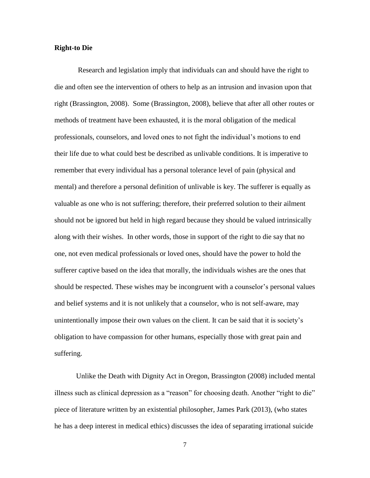#### **Right-to Die**

Research and legislation imply that individuals can and should have the right to die and often see the intervention of others to help as an intrusion and invasion upon that right (Brassington, 2008). Some (Brassington, 2008), believe that after all other routes or methods of treatment have been exhausted, it is the moral obligation of the medical professionals, counselors, and loved ones to not fight the individual's motions to end their life due to what could best be described as unlivable conditions. It is imperative to remember that every individual has a personal tolerance level of pain (physical and mental) and therefore a personal definition of unlivable is key. The sufferer is equally as valuable as one who is not suffering; therefore, their preferred solution to their ailment should not be ignored but held in high regard because they should be valued intrinsically along with their wishes. In other words, those in support of the right to die say that no one, not even medical professionals or loved ones, should have the power to hold the sufferer captive based on the idea that morally, the individuals wishes are the ones that should be respected. These wishes may be incongruent with a counselor's personal values and belief systems and it is not unlikely that a counselor, who is not self-aware, may unintentionally impose their own values on the client. It can be said that it is society's obligation to have compassion for other humans, especially those with great pain and suffering.

Unlike the Death with Dignity Act in Oregon, Brassington (2008) included mental illness such as clinical depression as a "reason" for choosing death. Another "right to die" piece of literature written by an existential philosopher, James Park (2013), (who states he has a deep interest in medical ethics) discusses the idea of separating irrational suicide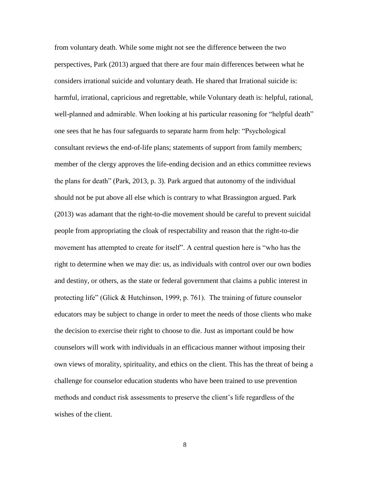from voluntary death. While some might not see the difference between the two perspectives, Park (2013) argued that there are four main differences between what he considers irrational suicide and voluntary death. He shared that Irrational suicide is: harmful, irrational, capricious and regrettable, while Voluntary death is: helpful, rational, well-planned and admirable. When looking at his particular reasoning for "helpful death" one sees that he has four safeguards to separate harm from help: "Psychological" consultant reviews the end-of-life plans; statements of support from family members; member of the clergy approves the life-ending decision and an ethics committee reviews the plans for death" (Park, 2013, p. 3). Park argued that autonomy of the individual should not be put above all else which is contrary to what Brassington argued. Park (2013) was adamant that the right-to-die movement should be careful to prevent suicidal people from appropriating the cloak of respectability and reason that the right-to-die movement has attempted to create for itself". A central question here is "who has the right to determine when we may die: us, as individuals with control over our own bodies and destiny, or others, as the state or federal government that claims a public interest in protecting life" (Glick  $& H$ utchinson, 1999, p. 761). The training of future counselor educators may be subject to change in order to meet the needs of those clients who make the decision to exercise their right to choose to die. Just as important could be how counselors will work with individuals in an efficacious manner without imposing their own views of morality, spirituality, and ethics on the client. This has the threat of being a challenge for counselor education students who have been trained to use prevention methods and conduct risk assessments to preserve the client's life regardless of the wishes of the client.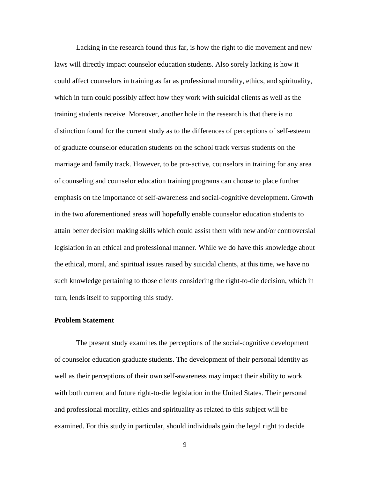Lacking in the research found thus far, is how the right to die movement and new laws will directly impact counselor education students. Also sorely lacking is how it could affect counselors in training as far as professional morality, ethics, and spirituality, which in turn could possibly affect how they work with suicidal clients as well as the training students receive. Moreover, another hole in the research is that there is no distinction found for the current study as to the differences of perceptions of self-esteem of graduate counselor education students on the school track versus students on the marriage and family track. However, to be pro-active, counselors in training for any area of counseling and counselor education training programs can choose to place further emphasis on the importance of self-awareness and social-cognitive development. Growth in the two aforementioned areas will hopefully enable counselor education students to attain better decision making skills which could assist them with new and/or controversial legislation in an ethical and professional manner. While we do have this knowledge about the ethical, moral, and spiritual issues raised by suicidal clients, at this time, we have no such knowledge pertaining to those clients considering the right-to-die decision, which in turn, lends itself to supporting this study.

#### **Problem Statement**

The present study examines the perceptions of the social-cognitive development of counselor education graduate students. The development of their personal identity as well as their perceptions of their own self-awareness may impact their ability to work with both current and future right-to-die legislation in the United States. Their personal and professional morality, ethics and spirituality as related to this subject will be examined. For this study in particular, should individuals gain the legal right to decide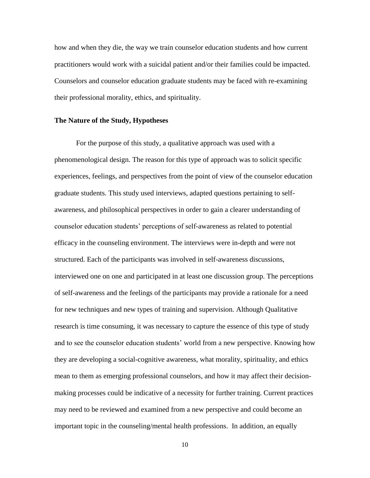how and when they die, the way we train counselor education students and how current practitioners would work with a suicidal patient and/or their families could be impacted. Counselors and counselor education graduate students may be faced with re-examining their professional morality, ethics, and spirituality.

#### **The Nature of the Study, Hypotheses**

For the purpose of this study, a qualitative approach was used with a phenomenological design. The reason for this type of approach was to solicit specific experiences, feelings, and perspectives from the point of view of the counselor education graduate students. This study used interviews, adapted questions pertaining to selfawareness, and philosophical perspectives in order to gain a clearer understanding of counselor education students' perceptions of self-awareness as related to potential efficacy in the counseling environment. The interviews were in-depth and were not structured. Each of the participants was involved in self-awareness discussions, interviewed one on one and participated in at least one discussion group. The perceptions of self-awareness and the feelings of the participants may provide a rationale for a need for new techniques and new types of training and supervision. Although Qualitative research is time consuming, it was necessary to capture the essence of this type of study and to see the counselor education students' world from a new perspective. Knowing how they are developing a social-cognitive awareness, what morality, spirituality, and ethics mean to them as emerging professional counselors, and how it may affect their decisionmaking processes could be indicative of a necessity for further training. Current practices may need to be reviewed and examined from a new perspective and could become an important topic in the counseling/mental health professions. In addition, an equally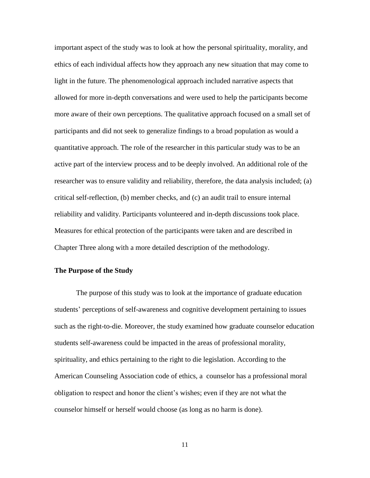important aspect of the study was to look at how the personal spirituality, morality, and ethics of each individual affects how they approach any new situation that may come to light in the future. The phenomenological approach included narrative aspects that allowed for more in-depth conversations and were used to help the participants become more aware of their own perceptions. The qualitative approach focused on a small set of participants and did not seek to generalize findings to a broad population as would a quantitative approach. The role of the researcher in this particular study was to be an active part of the interview process and to be deeply involved. An additional role of the researcher was to ensure validity and reliability, therefore, the data analysis included; (a) critical self-reflection, (b) member checks, and (c) an audit trail to ensure internal reliability and validity. Participants volunteered and in-depth discussions took place. Measures for ethical protection of the participants were taken and are described in Chapter Three along with a more detailed description of the methodology.

#### **The Purpose of the Study**

The purpose of this study was to look at the importance of graduate education students' perceptions of self-awareness and cognitive development pertaining to issues such as the right-to-die. Moreover, the study examined how graduate counselor education students self-awareness could be impacted in the areas of professional morality, spirituality, and ethics pertaining to the right to die legislation. According to the American Counseling Association code of ethics, a counselor has a professional moral obligation to respect and honor the client's wishes; even if they are not what the counselor himself or herself would choose (as long as no harm is done).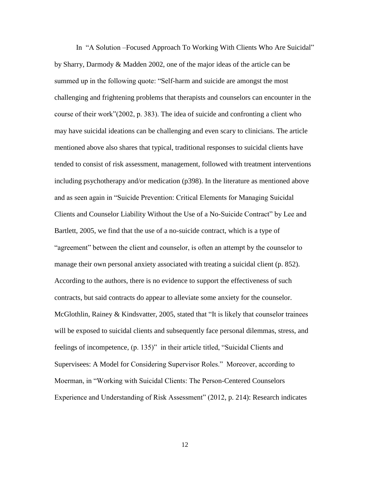In "A Solution –Focused Approach To Working With Clients Who Are Suicidal" by Sharry, Darmody & Madden 2002, one of the major ideas of the article can be summed up in the following quote: "Self-harm and suicide are amongst the most challenging and frightening problems that therapists and counselors can encounter in the course of their work" $(2002, p. 383)$ . The idea of suicide and confronting a client who may have suicidal ideations can be challenging and even scary to clinicians. The article mentioned above also shares that typical, traditional responses to suicidal clients have tended to consist of risk assessment, management, followed with treatment interventions including psychotherapy and/or medication (p398). In the literature as mentioned above and as seen again in "Suicide Prevention: Critical Elements for Managing Suicidal Clients and Counselor Liability Without the Use of a No-Suicide Contract" by Lee and Bartlett, 2005, we find that the use of a no-suicide contract, which is a type of "agreement" between the client and counselor, is often an attempt by the counselor to manage their own personal anxiety associated with treating a suicidal client (p. 852). According to the authors, there is no evidence to support the effectiveness of such contracts, but said contracts do appear to alleviate some anxiety for the counselor. McGlothlin, Rainey  $&$  Kindsvatter, 2005, stated that "It is likely that counselor trainees will be exposed to suicidal clients and subsequently face personal dilemmas, stress, and feelings of incompetence, (p. 135)" in their article titled, "Suicidal Clients and Supervisees: A Model for Considering Supervisor Roles." Moreover, according to Moerman, in "Working with Suicidal Clients: The Person-Centered Counselors Experience and Understanding of Risk Assessment" (2012, p. 214): Research indicates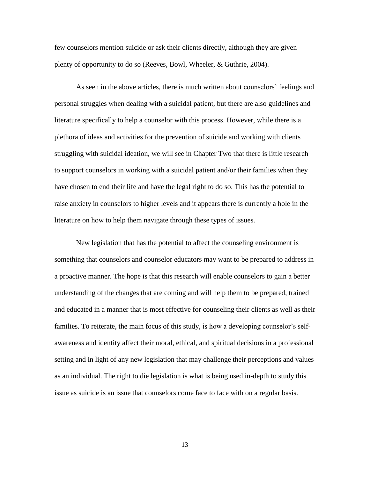few counselors mention suicide or ask their clients directly, although they are given plenty of opportunity to do so (Reeves, Bowl, Wheeler, & Guthrie, 2004).

As seen in the above articles, there is much written about counselors' feelings and personal struggles when dealing with a suicidal patient, but there are also guidelines and literature specifically to help a counselor with this process. However, while there is a plethora of ideas and activities for the prevention of suicide and working with clients struggling with suicidal ideation, we will see in Chapter Two that there is little research to support counselors in working with a suicidal patient and/or their families when they have chosen to end their life and have the legal right to do so. This has the potential to raise anxiety in counselors to higher levels and it appears there is currently a hole in the literature on how to help them navigate through these types of issues.

New legislation that has the potential to affect the counseling environment is something that counselors and counselor educators may want to be prepared to address in a proactive manner. The hope is that this research will enable counselors to gain a better understanding of the changes that are coming and will help them to be prepared, trained and educated in a manner that is most effective for counseling their clients as well as their families. To reiterate, the main focus of this study, is how a developing counselor's selfawareness and identity affect their moral, ethical, and spiritual decisions in a professional setting and in light of any new legislation that may challenge their perceptions and values as an individual. The right to die legislation is what is being used in-depth to study this issue as suicide is an issue that counselors come face to face with on a regular basis.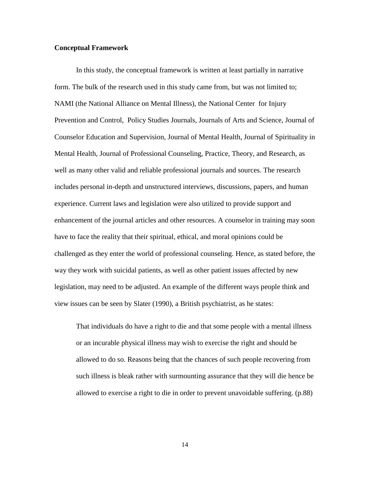#### **Conceptual Framework**

In this study, the conceptual framework is written at least partially in narrative form. The bulk of the research used in this study came from, but was not limited to; NAMI (the National Alliance on Mental Illness), the National Center for Injury Prevention and Control, Policy Studies Journals, Journals of Arts and Science, Journal of Counselor Education and Supervision, Journal of Mental Health, Journal of Spirituality in Mental Health, Journal of Professional Counseling, Practice, Theory, and Research, as well as many other valid and reliable professional journals and sources. The research includes personal in-depth and unstructured interviews, discussions, papers, and human experience. Current laws and legislation were also utilized to provide support and enhancement of the journal articles and other resources. A counselor in training may soon have to face the reality that their spiritual, ethical, and moral opinions could be challenged as they enter the world of professional counseling. Hence, as stated before, the way they work with suicidal patients, as well as other patient issues affected by new legislation, may need to be adjusted. An example of the different ways people think and view issues can be seen by Slater (1990), a British psychiatrist, as he states:

That individuals do have a right to die and that some people with a mental illness or an incurable physical illness may wish to exercise the right and should be allowed to do so. Reasons being that the chances of such people recovering from such illness is bleak rather with surmounting assurance that they will die hence be allowed to exercise a right to die in order to prevent unavoidable suffering. (p.88)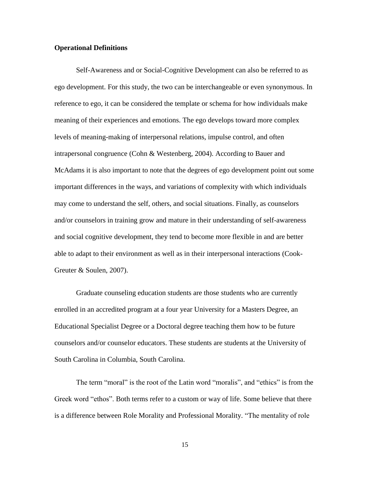#### **Operational Definitions**

Self-Awareness and or Social-Cognitive Development can also be referred to as ego development. For this study, the two can be interchangeable or even synonymous. In reference to ego, it can be considered the template or schema for how individuals make meaning of their experiences and emotions. The ego develops toward more complex levels of meaning-making of interpersonal relations, impulse control, and often intrapersonal congruence (Cohn & Westenberg, 2004). According to Bauer and McAdams it is also important to note that the degrees of ego development point out some important differences in the ways, and variations of complexity with which individuals may come to understand the self, others, and social situations. Finally, as counselors and/or counselors in training grow and mature in their understanding of self-awareness and social cognitive development, they tend to become more flexible in and are better able to adapt to their environment as well as in their interpersonal interactions (Cook-Greuter & Soulen, 2007).

Graduate counseling education students are those students who are currently enrolled in an accredited program at a four year University for a Masters Degree, an Educational Specialist Degree or a Doctoral degree teaching them how to be future counselors and/or counselor educators. These students are students at the University of South Carolina in Columbia, South Carolina.

The term "moral" is the root of the Latin word "moralis", and "ethics" is from the Greek word "ethos". Both terms refer to a custom or way of life. Some believe that there is a difference between Role Morality and Professional Morality. "The mentality of role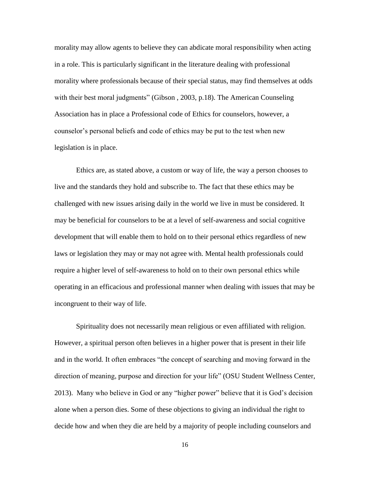morality may allow agents to believe they can abdicate moral responsibility when acting in a role. This is particularly significant in the literature dealing with professional morality where professionals because of their special status, may find themselves at odds with their best moral judgments" (Gibson, 2003, p.18). The American Counseling Association has in place a Professional code of Ethics for counselors, however, a counselor's personal beliefs and code of ethics may be put to the test when new legislation is in place.

Ethics are, as stated above, a custom or way of life, the way a person chooses to live and the standards they hold and subscribe to. The fact that these ethics may be challenged with new issues arising daily in the world we live in must be considered. It may be beneficial for counselors to be at a level of self-awareness and social cognitive development that will enable them to hold on to their personal ethics regardless of new laws or legislation they may or may not agree with. Mental health professionals could require a higher level of self-awareness to hold on to their own personal ethics while operating in an efficacious and professional manner when dealing with issues that may be incongruent to their way of life.

Spirituality does not necessarily mean religious or even affiliated with religion. However, a spiritual person often believes in a higher power that is present in their life and in the world. It often embraces "the concept of searching and moving forward in the direction of meaning, purpose and direction for your life" (OSU Student Wellness Center, 2013). Many who believe in God or any "higher power" believe that it is God's decision alone when a person dies. Some of these objections to giving an individual the right to decide how and when they die are held by a majority of people including counselors and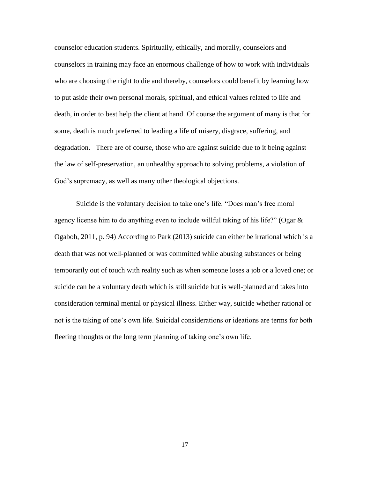counselor education students. Spiritually, ethically, and morally, counselors and counselors in training may face an enormous challenge of how to work with individuals who are choosing the right to die and thereby, counselors could benefit by learning how to put aside their own personal morals, spiritual, and ethical values related to life and death, in order to best help the client at hand. Of course the argument of many is that for some, death is much preferred to leading a life of misery, disgrace, suffering, and degradation. There are of course, those who are against suicide due to it being against the law of self-preservation, an unhealthy approach to solving problems, a violation of God's supremacy, as well as many other theological objections.

Suicide is the voluntary decision to take one's life. "Does man's free moral agency license him to do anything even to include willful taking of his life?" (Ogar  $\&$ Ogaboh, 2011, p. 94) According to Park (2013) suicide can either be irrational which is a death that was not well-planned or was committed while abusing substances or being temporarily out of touch with reality such as when someone loses a job or a loved one; or suicide can be a voluntary death which is still suicide but is well-planned and takes into consideration terminal mental or physical illness. Either way, suicide whether rational or not is the taking of one's own life. Suicidal considerations or ideations are terms for both fleeting thoughts or the long term planning of taking one's own life.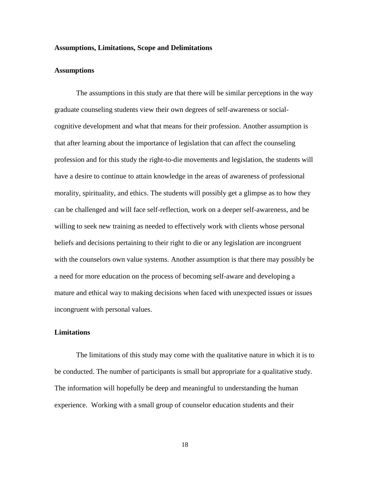#### **Assumptions, Limitations, Scope and Delimitations**

#### **Assumptions**

The assumptions in this study are that there will be similar perceptions in the way graduate counseling students view their own degrees of self-awareness or socialcognitive development and what that means for their profession. Another assumption is that after learning about the importance of legislation that can affect the counseling profession and for this study the right-to-die movements and legislation, the students will have a desire to continue to attain knowledge in the areas of awareness of professional morality, spirituality, and ethics. The students will possibly get a glimpse as to how they can be challenged and will face self-reflection, work on a deeper self-awareness, and be willing to seek new training as needed to effectively work with clients whose personal beliefs and decisions pertaining to their right to die or any legislation are incongruent with the counselors own value systems. Another assumption is that there may possibly be a need for more education on the process of becoming self-aware and developing a mature and ethical way to making decisions when faced with unexpected issues or issues incongruent with personal values.

#### **Limitations**

The limitations of this study may come with the qualitative nature in which it is to be conducted. The number of participants is small but appropriate for a qualitative study. The information will hopefully be deep and meaningful to understanding the human experience. Working with a small group of counselor education students and their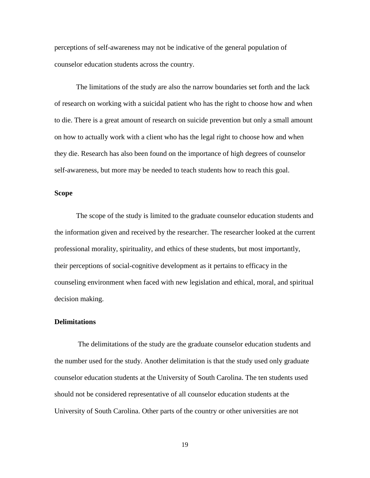perceptions of self-awareness may not be indicative of the general population of counselor education students across the country.

The limitations of the study are also the narrow boundaries set forth and the lack of research on working with a suicidal patient who has the right to choose how and when to die. There is a great amount of research on suicide prevention but only a small amount on how to actually work with a client who has the legal right to choose how and when they die. Research has also been found on the importance of high degrees of counselor self-awareness, but more may be needed to teach students how to reach this goal.

#### **Scope**

The scope of the study is limited to the graduate counselor education students and the information given and received by the researcher. The researcher looked at the current professional morality, spirituality, and ethics of these students, but most importantly, their perceptions of social-cognitive development as it pertains to efficacy in the counseling environment when faced with new legislation and ethical, moral, and spiritual decision making.

#### **Delimitations**

The delimitations of the study are the graduate counselor education students and the number used for the study. Another delimitation is that the study used only graduate counselor education students at the University of South Carolina. The ten students used should not be considered representative of all counselor education students at the University of South Carolina. Other parts of the country or other universities are not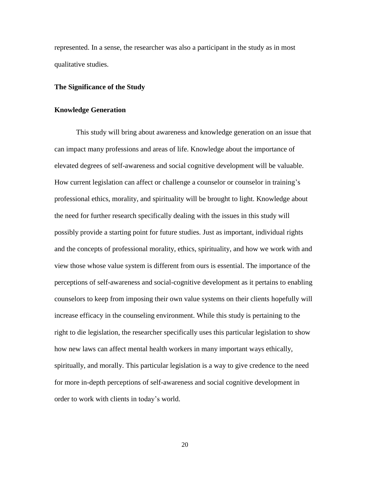represented. In a sense, the researcher was also a participant in the study as in most qualitative studies.

#### **The Significance of the Study**

#### **Knowledge Generation**

This study will bring about awareness and knowledge generation on an issue that can impact many professions and areas of life. Knowledge about the importance of elevated degrees of self-awareness and social cognitive development will be valuable. How current legislation can affect or challenge a counselor or counselor in training's professional ethics, morality, and spirituality will be brought to light. Knowledge about the need for further research specifically dealing with the issues in this study will possibly provide a starting point for future studies. Just as important, individual rights and the concepts of professional morality, ethics, spirituality, and how we work with and view those whose value system is different from ours is essential. The importance of the perceptions of self-awareness and social-cognitive development as it pertains to enabling counselors to keep from imposing their own value systems on their clients hopefully will increase efficacy in the counseling environment. While this study is pertaining to the right to die legislation, the researcher specifically uses this particular legislation to show how new laws can affect mental health workers in many important ways ethically, spiritually, and morally. This particular legislation is a way to give credence to the need for more in-depth perceptions of self-awareness and social cognitive development in order to work with clients in today's world.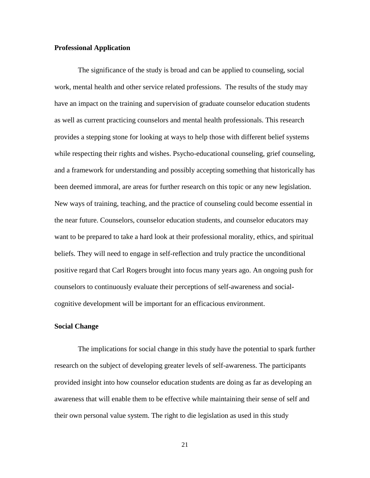#### **Professional Application**

The significance of the study is broad and can be applied to counseling, social work, mental health and other service related professions. The results of the study may have an impact on the training and supervision of graduate counselor education students as well as current practicing counselors and mental health professionals. This research provides a stepping stone for looking at ways to help those with different belief systems while respecting their rights and wishes. Psycho-educational counseling, grief counseling, and a framework for understanding and possibly accepting something that historically has been deemed immoral, are areas for further research on this topic or any new legislation. New ways of training, teaching, and the practice of counseling could become essential in the near future. Counselors, counselor education students, and counselor educators may want to be prepared to take a hard look at their professional morality, ethics, and spiritual beliefs. They will need to engage in self-reflection and truly practice the unconditional positive regard that Carl Rogers brought into focus many years ago. An ongoing push for counselors to continuously evaluate their perceptions of self-awareness and socialcognitive development will be important for an efficacious environment.

#### **Social Change**

The implications for social change in this study have the potential to spark further research on the subject of developing greater levels of self-awareness. The participants provided insight into how counselor education students are doing as far as developing an awareness that will enable them to be effective while maintaining their sense of self and their own personal value system. The right to die legislation as used in this study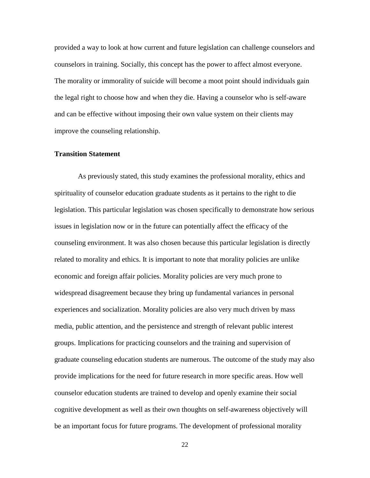provided a way to look at how current and future legislation can challenge counselors and counselors in training. Socially, this concept has the power to affect almost everyone. The morality or immorality of suicide will become a moot point should individuals gain the legal right to choose how and when they die. Having a counselor who is self-aware and can be effective without imposing their own value system on their clients may improve the counseling relationship.

#### **Transition Statement**

As previously stated, this study examines the professional morality, ethics and spirituality of counselor education graduate students as it pertains to the right to die legislation. This particular legislation was chosen specifically to demonstrate how serious issues in legislation now or in the future can potentially affect the efficacy of the counseling environment. It was also chosen because this particular legislation is directly related to morality and ethics. It is important to note that morality policies are unlike economic and foreign affair policies. Morality policies are very much prone to widespread disagreement because they bring up fundamental variances in personal experiences and socialization. Morality policies are also very much driven by mass media, public attention, and the persistence and strength of relevant public interest groups. Implications for practicing counselors and the training and supervision of graduate counseling education students are numerous. The outcome of the study may also provide implications for the need for future research in more specific areas. How well counselor education students are trained to develop and openly examine their social cognitive development as well as their own thoughts on self-awareness objectively will be an important focus for future programs. The development of professional morality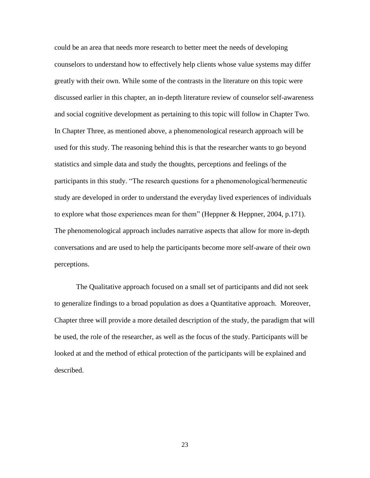could be an area that needs more research to better meet the needs of developing counselors to understand how to effectively help clients whose value systems may differ greatly with their own. While some of the contrasts in the literature on this topic were discussed earlier in this chapter, an in-depth literature review of counselor self-awareness and social cognitive development as pertaining to this topic will follow in Chapter Two. In Chapter Three, as mentioned above, a phenomenological research approach will be used for this study. The reasoning behind this is that the researcher wants to go beyond statistics and simple data and study the thoughts, perceptions and feelings of the participants in this study. "The research questions for a phenomenological/hermeneutic study are developed in order to understand the everyday lived experiences of individuals to explore what those experiences mean for them<sup>"</sup> (Heppner & Heppner, 2004, p.171). The phenomenological approach includes narrative aspects that allow for more in-depth conversations and are used to help the participants become more self-aware of their own perceptions.

The Qualitative approach focused on a small set of participants and did not seek to generalize findings to a broad population as does a Quantitative approach. Moreover, Chapter three will provide a more detailed description of the study, the paradigm that will be used, the role of the researcher, as well as the focus of the study. Participants will be looked at and the method of ethical protection of the participants will be explained and described.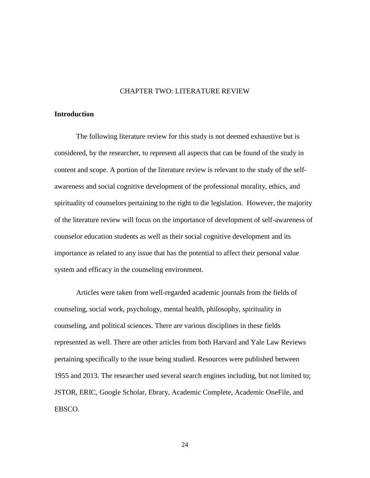#### CHAPTER TWO: LITERATURE REVIEW

#### **Introduction**

The following literature review for this study is not deemed exhaustive but is considered, by the researcher, to represent all aspects that can be found of the study in content and scope. A portion of the literature review is relevant to the study of the selfawareness and social cognitive development of the professional morality, ethics, and spirituality of counselors pertaining to the right to die legislation. However, the majority of the literature review will focus on the importance of development of self-awareness of counselor education students as well as their social cognitive development and its importance as related to any issue that has the potential to affect their personal value system and efficacy in the counseling environment.

Articles were taken from well-regarded academic journals from the fields of counseling, social work, psychology, mental health, philosophy, spirituality in counseling, and political sciences. There are various disciplines in these fields represented as well. There are other articles from both Harvard and Yale Law Reviews pertaining specifically to the issue being studied. Resources were published between 1955 and 2013. The researcher used several search engines including, but not limited to; JSTOR, ERIC, Google Scholar, Ebrary, Academic Complete, Academic OneFile, and EBSCO.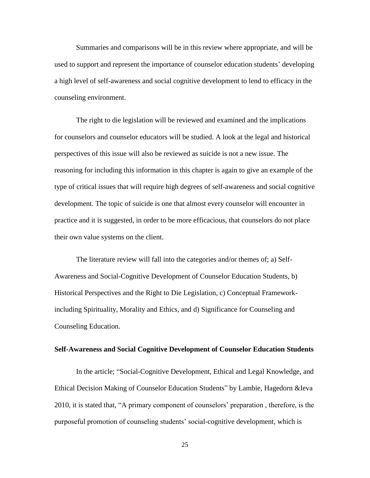Summaries and comparisons will be in this review where appropriate, and will be used to support and represent the importance of counselor education students' developing a high level of self-awareness and social cognitive development to lend to efficacy in the counseling environment.

The right to die legislation will be reviewed and examined and the implications for counselors and counselor educators will be studied. A look at the legal and historical perspectives of this issue will also be reviewed as suicide is not a new issue. The reasoning for including this information in this chapter is again to give an example of the type of critical issues that will require high degrees of self-awareness and social cognitive development. The topic of suicide is one that almost every counselor will encounter in practice and it is suggested, in order to be more efficacious, that counselors do not place their own value systems on the client.

The literature review will fall into the categories and/or themes of; a) Self-Awareness and Social-Cognitive Development of Counselor Education Students, b) Historical Perspectives and the Right to Die Legislation, c) Conceptual Frameworkincluding Spirituality, Morality and Ethics, and d) Significance for Counseling and Counseling Education.

#### **Self-Awareness and Social Cognitive Development of Counselor Education Students**

In the article; "Social-Cognitive Development, Ethical and Legal Knowledge, and Ethical Decision Making of Counselor Education Students" by Lambie, Hagedorn &Ieva 2010, it is stated that, "A primary component of counselors' preparation, therefore, is the purposeful promotion of counseling students' social-cognitive development, which is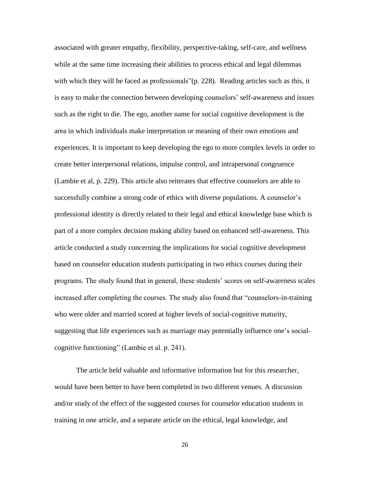associated with greater empathy, flexibility, perspective-taking, self-care, and wellness while at the same time increasing their abilities to process ethical and legal dilemmas with which they will be faced as professionals" $(p. 228)$ . Reading articles such as this, it is easy to make the connection between developing counselors' self-awareness and issues such as the right to die. The ego, another name for social cognitive development is the area in which individuals make interpretation or meaning of their own emotions and experiences. It is important to keep developing the ego to more complex levels in order to create better interpersonal relations, impulse control, and intrapersonal congruence (Lambie et al, p. 229). This article also reiterates that effective counselors are able to successfully combine a strong code of ethics with diverse populations. A counselor's professional identity is directly related to their legal and ethical knowledge base which is part of a more complex decision making ability based on enhanced self-awareness. This article conducted a study concerning the implications for social cognitive development based on counselor education students participating in two ethics courses during their programs. The study found that in general, these students' scores on self-awareness scales increased after completing the courses. The study also found that "counselors-in-training who were older and married scored at higher levels of social-cognitive maturity, suggesting that life experiences such as marriage may potentially influence one's socialcognitive functioning" (Lambie et al. p. 241).

The article held valuable and informative information but for this researcher, would have been better to have been completed in two different venues. A discussion and/or study of the effect of the suggested courses for counselor education students in training in one article, and a separate article on the ethical, legal knowledge, and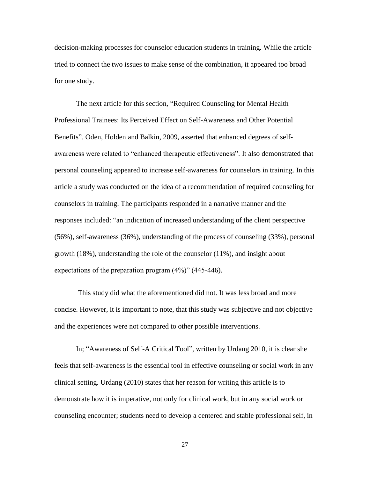decision-making processes for counselor education students in training. While the article tried to connect the two issues to make sense of the combination, it appeared too broad for one study.

The next article for this section, "Required Counseling for Mental Health Professional Trainees: Its Perceived Effect on Self-Awareness and Other Potential Benefits". Oden, Holden and Balkin, 2009, asserted that enhanced degrees of selfawareness were related to "enhanced therapeutic effectiveness". It also demonstrated that personal counseling appeared to increase self-awareness for counselors in training. In this article a study was conducted on the idea of a recommendation of required counseling for counselors in training. The participants responded in a narrative manner and the responses included: "an indication of increased understanding of the client perspective (56%), self-awareness (36%), understanding of the process of counseling (33%), personal growth (18%), understanding the role of the counselor (11%), and insight about expectations of the preparation program  $(4\%)$ <sup>"</sup> (445-446).

This study did what the aforementioned did not. It was less broad and more concise. However, it is important to note, that this study was subjective and not objective and the experiences were not compared to other possible interventions.

In; "Awareness of Self-A Critical Tool", written by Urdang 2010, it is clear she feels that self-awareness is the essential tool in effective counseling or social work in any clinical setting. Urdang (2010) states that her reason for writing this article is to demonstrate how it is imperative, not only for clinical work, but in any social work or counseling encounter; students need to develop a centered and stable professional self, in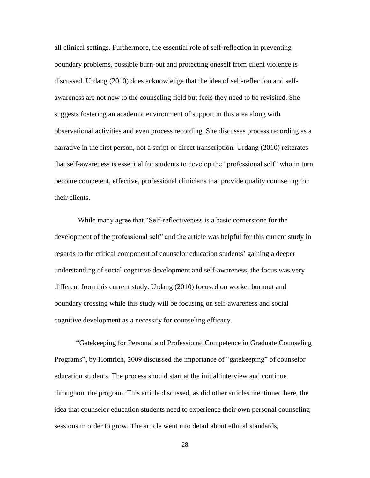all clinical settings. Furthermore, the essential role of self-reflection in preventing boundary problems, possible burn-out and protecting oneself from client violence is discussed. Urdang (2010) does acknowledge that the idea of self-reflection and selfawareness are not new to the counseling field but feels they need to be revisited. She suggests fostering an academic environment of support in this area along with observational activities and even process recording. She discusses process recording as a narrative in the first person, not a script or direct transcription. Urdang (2010) reiterates that self-awareness is essential for students to develop the "professional self" who in turn become competent, effective, professional clinicians that provide quality counseling for their clients.

While many agree that "Self-reflectiveness is a basic cornerstone for the development of the professional self<sup>\*</sup> and the article was helpful for this current study in regards to the critical component of counselor education students' gaining a deeper understanding of social cognitive development and self-awareness, the focus was very different from this current study. Urdang (2010) focused on worker burnout and boundary crossing while this study will be focusing on self-awareness and social cognitive development as a necessity for counseling efficacy.

―Gatekeeping for Personal and Professional Competence in Graduate Counseling Programs", by Homrich, 2009 discussed the importance of "gatekeeping" of counselor education students. The process should start at the initial interview and continue throughout the program. This article discussed, as did other articles mentioned here, the idea that counselor education students need to experience their own personal counseling sessions in order to grow. The article went into detail about ethical standards,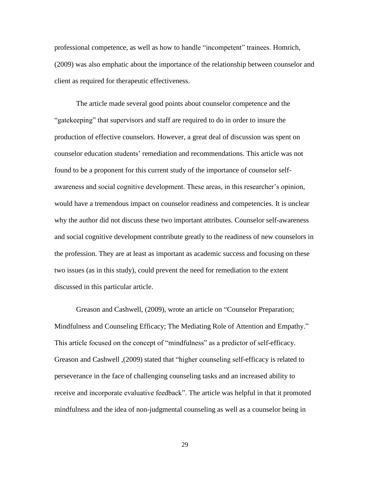professional competence, as well as how to handle "incompetent" trainees. Homrich, (2009) was also emphatic about the importance of the relationship between counselor and client as required for therapeutic effectiveness.

The article made several good points about counselor competence and the ―gatekeeping‖ that supervisors and staff are required to do in order to insure the production of effective counselors. However, a great deal of discussion was spent on counselor education students' remediation and recommendations. This article was not found to be a proponent for this current study of the importance of counselor selfawareness and social cognitive development. These areas, in this researcher's opinion, would have a tremendous impact on counselor readiness and competencies. It is unclear why the author did not discuss these two important attributes. Counselor self-awareness and social cognitive development contribute greatly to the readiness of new counselors in the profession. They are at least as important as academic success and focusing on these two issues (as in this study), could prevent the need for remediation to the extent discussed in this particular article.

Greason and Cashwell, (2009), wrote an article on "Counselor Preparation; Mindfulness and Counseling Efficacy; The Mediating Role of Attention and Empathy." This article focused on the concept of "mindfulness" as a predictor of self-efficacy. Greason and Cashwell , (2009) stated that "higher counseling self-efficacy is related to perseverance in the face of challenging counseling tasks and an increased ability to receive and incorporate evaluative feedback". The article was helpful in that it promoted mindfulness and the idea of non-judgmental counseling as well as a counselor being in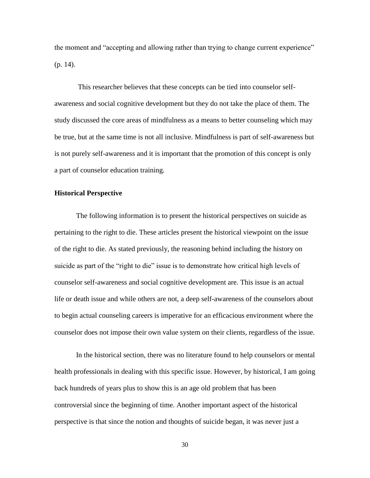the moment and "accepting and allowing rather than trying to change current experience" (p. 14).

This researcher believes that these concepts can be tied into counselor selfawareness and social cognitive development but they do not take the place of them. The study discussed the core areas of mindfulness as a means to better counseling which may be true, but at the same time is not all inclusive. Mindfulness is part of self-awareness but is not purely self-awareness and it is important that the promotion of this concept is only a part of counselor education training.

## **Historical Perspective**

The following information is to present the historical perspectives on suicide as pertaining to the right to die. These articles present the historical viewpoint on the issue of the right to die. As stated previously, the reasoning behind including the history on suicide as part of the "right to die" issue is to demonstrate how critical high levels of counselor self-awareness and social cognitive development are. This issue is an actual life or death issue and while others are not, a deep self-awareness of the counselors about to begin actual counseling careers is imperative for an efficacious environment where the counselor does not impose their own value system on their clients, regardless of the issue.

In the historical section, there was no literature found to help counselors or mental health professionals in dealing with this specific issue. However, by historical, I am going back hundreds of years plus to show this is an age old problem that has been controversial since the beginning of time. Another important aspect of the historical perspective is that since the notion and thoughts of suicide began, it was never just a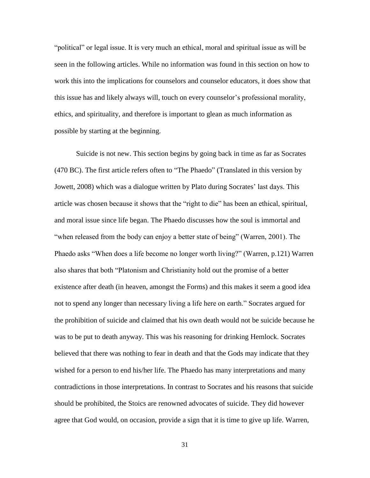"political" or legal issue. It is very much an ethical, moral and spiritual issue as will be seen in the following articles. While no information was found in this section on how to work this into the implications for counselors and counselor educators, it does show that this issue has and likely always will, touch on every counselor's professional morality, ethics, and spirituality, and therefore is important to glean as much information as possible by starting at the beginning.

Suicide is not new. This section begins by going back in time as far as Socrates  $(470 \text{ BC})$ . The first article refers often to "The Phaedo" (Translated in this version by Jowett, 2008) which was a dialogue written by Plato during Socrates' last days. This article was chosen because it shows that the "right to die" has been an ethical, spiritual, and moral issue since life began. The Phaedo discusses how the soul is immortal and "when released from the body can enjoy a better state of being" (Warren, 2001). The Phaedo asks "When does a life become no longer worth living?" (Warren, p.121) Warren also shares that both "Platonism and Christianity hold out the promise of a better existence after death (in heaven, amongst the Forms) and this makes it seem a good idea not to spend any longer than necessary living a life here on earth." Socrates argued for the prohibition of suicide and claimed that his own death would not be suicide because he was to be put to death anyway. This was his reasoning for drinking Hemlock. Socrates believed that there was nothing to fear in death and that the Gods may indicate that they wished for a person to end his/her life. The Phaedo has many interpretations and many contradictions in those interpretations. In contrast to Socrates and his reasons that suicide should be prohibited, the Stoics are renowned advocates of suicide. They did however agree that God would, on occasion, provide a sign that it is time to give up life. Warren,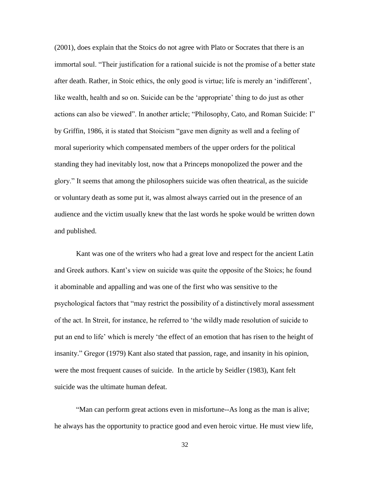(2001), does explain that the Stoics do not agree with Plato or Socrates that there is an immortal soul. "Their justification for a rational suicide is not the promise of a better state after death. Rather, in Stoic ethics, the only good is virtue; life is merely an 'indifferent', like wealth, health and so on. Suicide can be the 'appropriate' thing to do just as other actions can also be viewed". In another article; "Philosophy, Cato, and Roman Suicide: I" by Griffin, 1986, it is stated that Stoicism "gave men dignity as well and a feeling of moral superiority which compensated members of the upper orders for the political standing they had inevitably lost, now that a Princeps monopolized the power and the glory.‖ It seems that among the philosophers suicide was often theatrical, as the suicide or voluntary death as some put it, was almost always carried out in the presence of an audience and the victim usually knew that the last words he spoke would be written down and published.

Kant was one of the writers who had a great love and respect for the ancient Latin and Greek authors. Kant's view on suicide was quite the opposite of the Stoics; he found it abominable and appalling and was one of the first who was sensitive to the psychological factors that "may restrict the possibility of a distinctively moral assessment of the act. In Streit, for instance, he referred to ‗the wildly made resolution of suicide to put an end to life' which is merely 'the effect of an emotion that has risen to the height of insanity." Gregor (1979) Kant also stated that passion, rage, and insanity in his opinion, were the most frequent causes of suicide. In the article by Seidler (1983), Kant felt suicide was the ultimate human defeat.

"Man can perform great actions even in misfortune--As long as the man is alive; he always has the opportunity to practice good and even heroic virtue. He must view life,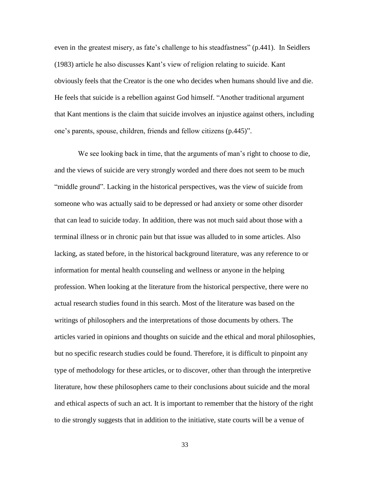even in the greatest misery, as fate's challenge to his steadfastness" (p.441). In Seidlers (1983) article he also discusses Kant's view of religion relating to suicide. Kant obviously feels that the Creator is the one who decides when humans should live and die. He feels that suicide is a rebellion against God himself. "Another traditional argument that Kant mentions is the claim that suicide involves an injustice against others, including one's parents, spouse, children, friends and fellow citizens (p.445)".

We see looking back in time, that the arguments of man's right to choose to die, and the views of suicide are very strongly worded and there does not seem to be much "middle ground". Lacking in the historical perspectives, was the view of suicide from someone who was actually said to be depressed or had anxiety or some other disorder that can lead to suicide today. In addition, there was not much said about those with a terminal illness or in chronic pain but that issue was alluded to in some articles. Also lacking, as stated before, in the historical background literature, was any reference to or information for mental health counseling and wellness or anyone in the helping profession. When looking at the literature from the historical perspective, there were no actual research studies found in this search. Most of the literature was based on the writings of philosophers and the interpretations of those documents by others. The articles varied in opinions and thoughts on suicide and the ethical and moral philosophies, but no specific research studies could be found. Therefore, it is difficult to pinpoint any type of methodology for these articles, or to discover, other than through the interpretive literature, how these philosophers came to their conclusions about suicide and the moral and ethical aspects of such an act. It is important to remember that the history of the right to die strongly suggests that in addition to the initiative, state courts will be a venue of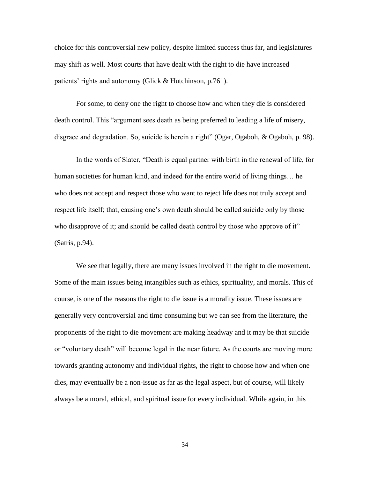choice for this controversial new policy, despite limited success thus far, and legislatures may shift as well. Most courts that have dealt with the right to die have increased patients' rights and autonomy (Glick & Hutchinson, p.761).

For some, to deny one the right to choose how and when they die is considered death control. This "argument sees death as being preferred to leading a life of misery, disgrace and degradation. So, suicide is herein a right" (Ogar, Ogaboh,  $\&$  Ogaboh, p. 98).

In the words of Slater, "Death is equal partner with birth in the renewal of life, for human societies for human kind, and indeed for the entire world of living things… he who does not accept and respect those who want to reject life does not truly accept and respect life itself; that, causing one's own death should be called suicide only by those who disapprove of it; and should be called death control by those who approve of it" (Satris, p.94).

We see that legally, there are many issues involved in the right to die movement. Some of the main issues being intangibles such as ethics, spirituality, and morals. This of course, is one of the reasons the right to die issue is a morality issue. These issues are generally very controversial and time consuming but we can see from the literature, the proponents of the right to die movement are making headway and it may be that suicide or "voluntary death" will become legal in the near future. As the courts are moving more towards granting autonomy and individual rights, the right to choose how and when one dies, may eventually be a non-issue as far as the legal aspect, but of course, will likely always be a moral, ethical, and spiritual issue for every individual. While again, in this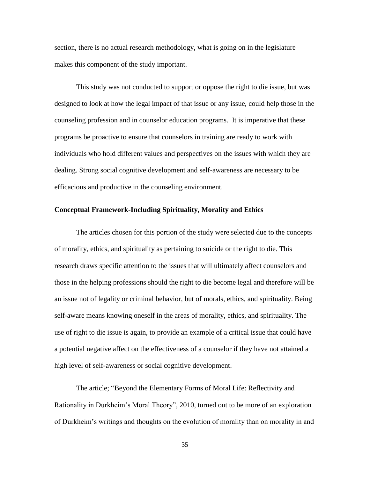section, there is no actual research methodology, what is going on in the legislature makes this component of the study important.

This study was not conducted to support or oppose the right to die issue, but was designed to look at how the legal impact of that issue or any issue, could help those in the counseling profession and in counselor education programs. It is imperative that these programs be proactive to ensure that counselors in training are ready to work with individuals who hold different values and perspectives on the issues with which they are dealing. Strong social cognitive development and self-awareness are necessary to be efficacious and productive in the counseling environment.

# **Conceptual Framework-Including Spirituality, Morality and Ethics**

The articles chosen for this portion of the study were selected due to the concepts of morality, ethics, and spirituality as pertaining to suicide or the right to die. This research draws specific attention to the issues that will ultimately affect counselors and those in the helping professions should the right to die become legal and therefore will be an issue not of legality or criminal behavior, but of morals, ethics, and spirituality. Being self-aware means knowing oneself in the areas of morality, ethics, and spirituality. The use of right to die issue is again, to provide an example of a critical issue that could have a potential negative affect on the effectiveness of a counselor if they have not attained a high level of self-awareness or social cognitive development.

The article; "Beyond the Elementary Forms of Moral Life: Reflectivity and Rationality in Durkheim's Moral Theory", 2010, turned out to be more of an exploration of Durkheim's writings and thoughts on the evolution of morality than on morality in and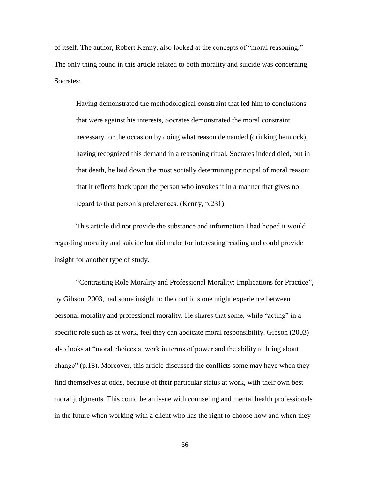of itself. The author, Robert Kenny, also looked at the concepts of "moral reasoning." The only thing found in this article related to both morality and suicide was concerning Socrates:

Having demonstrated the methodological constraint that led him to conclusions that were against his interests, Socrates demonstrated the moral constraint necessary for the occasion by doing what reason demanded (drinking hemlock), having recognized this demand in a reasoning ritual. Socrates indeed died, but in that death, he laid down the most socially determining principal of moral reason: that it reflects back upon the person who invokes it in a manner that gives no regard to that person's preferences. (Kenny, p.231)

This article did not provide the substance and information I had hoped it would regarding morality and suicide but did make for interesting reading and could provide insight for another type of study.

―Contrasting Role Morality and Professional Morality: Implications for Practice‖, by Gibson, 2003, had some insight to the conflicts one might experience between personal morality and professional morality. He shares that some, while "acting" in a specific role such as at work, feel they can abdicate moral responsibility. Gibson (2003) also looks at "moral choices at work in terms of power and the ability to bring about change"  $(p.18)$ . Moreover, this article discussed the conflicts some may have when they find themselves at odds, because of their particular status at work, with their own best moral judgments. This could be an issue with counseling and mental health professionals in the future when working with a client who has the right to choose how and when they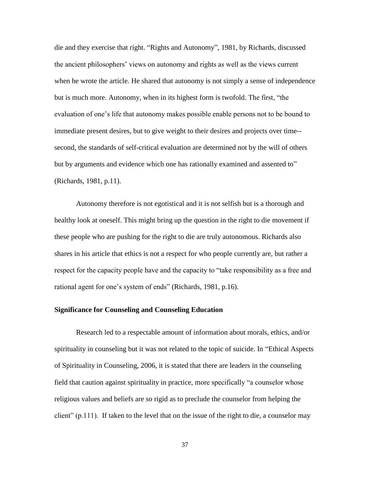die and they exercise that right. "Rights and Autonomy", 1981, by Richards, discussed the ancient philosophers' views on autonomy and rights as well as the views current when he wrote the article. He shared that autonomy is not simply a sense of independence but is much more. Autonomy, when in its highest form is twofold. The first, "the evaluation of one's life that autonomy makes possible enable persons not to be bound to immediate present desires, but to give weight to their desires and projects over time- second, the standards of self-critical evaluation are determined not by the will of others but by arguments and evidence which one has rationally examined and assented to" (Richards, 1981, p.11).

Autonomy therefore is not egotistical and it is not selfish but is a thorough and healthy look at oneself. This might bring up the question in the right to die movement if these people who are pushing for the right to die are truly autonomous. Richards also shares in his article that ethics is not a respect for who people currently are, but rather a respect for the capacity people have and the capacity to "take responsibility as a free and rational agent for one's system of ends" (Richards, 1981, p.16).

### **Significance for Counseling and Counseling Education**

Research led to a respectable amount of information about morals, ethics, and/or spirituality in counseling but it was not related to the topic of suicide. In "Ethical Aspects" of Spirituality in Counseling, 2006, it is stated that there are leaders in the counseling field that caution against spirituality in practice, more specifically "a counselor whose religious values and beliefs are so rigid as to preclude the counselor from helping the client" (p.111). If taken to the level that on the issue of the right to die, a counselor may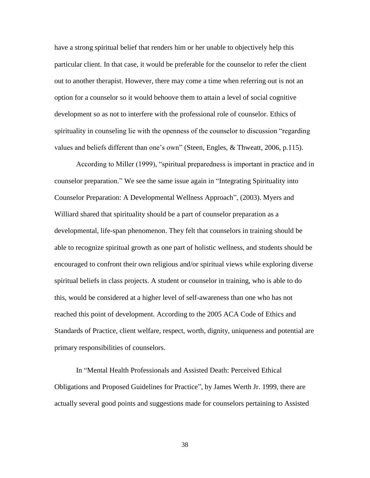have a strong spiritual belief that renders him or her unable to objectively help this particular client. In that case, it would be preferable for the counselor to refer the client out to another therapist. However, there may come a time when referring out is not an option for a counselor so it would behoove them to attain a level of social cognitive development so as not to interfere with the professional role of counselor. Ethics of spirituality in counseling lie with the openness of the counselor to discussion "regarding" values and beliefs different than one's own" (Steen, Engles, & Thweatt, 2006, p.115).

According to Miller (1999), "spiritual preparedness is important in practice and in counselor preparation." We see the same issue again in "Integrating Spirituality into Counselor Preparation: A Developmental Wellness Approach", (2003). Myers and Williard shared that spirituality should be a part of counselor preparation as a developmental, life-span phenomenon. They felt that counselors in training should be able to recognize spiritual growth as one part of holistic wellness, and students should be encouraged to confront their own religious and/or spiritual views while exploring diverse spiritual beliefs in class projects. A student or counselor in training, who is able to do this, would be considered at a higher level of self-awareness than one who has not reached this point of development. According to the 2005 ACA Code of Ethics and Standards of Practice, client welfare, respect, worth, dignity, uniqueness and potential are primary responsibilities of counselors.

In "Mental Health Professionals and Assisted Death: Perceived Ethical Obligations and Proposed Guidelines for Practice", by James Werth Jr. 1999, there are actually several good points and suggestions made for counselors pertaining to Assisted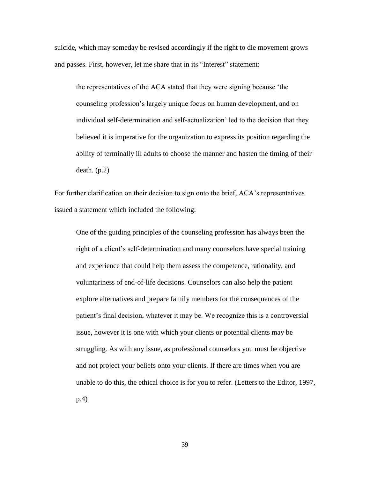suicide, which may someday be revised accordingly if the right to die movement grows and passes. First, however, let me share that in its "Interest" statement:

the representatives of the ACA stated that they were signing because 'the counseling profession's largely unique focus on human development, and on individual self-determination and self-actualization' led to the decision that they believed it is imperative for the organization to express its position regarding the ability of terminally ill adults to choose the manner and hasten the timing of their death. (p.2)

For further clarification on their decision to sign onto the brief, ACA's representatives issued a statement which included the following:

One of the guiding principles of the counseling profession has always been the right of a client's self-determination and many counselors have special training and experience that could help them assess the competence, rationality, and voluntariness of end-of-life decisions. Counselors can also help the patient explore alternatives and prepare family members for the consequences of the patient's final decision, whatever it may be. We recognize this is a controversial issue, however it is one with which your clients or potential clients may be struggling. As with any issue, as professional counselors you must be objective and not project your beliefs onto your clients. If there are times when you are unable to do this, the ethical choice is for you to refer. (Letters to the Editor, 1997, p.4)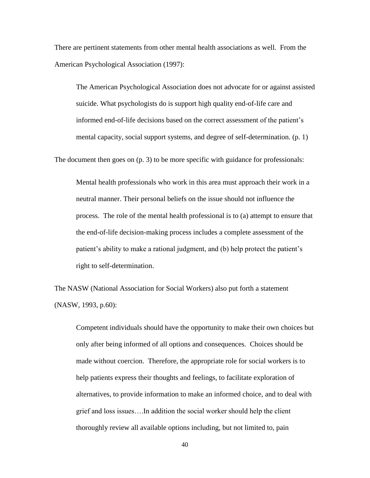There are pertinent statements from other mental health associations as well. From the American Psychological Association (1997):

The American Psychological Association does not advocate for or against assisted suicide. What psychologists do is support high quality end-of-life care and informed end-of-life decisions based on the correct assessment of the patient's mental capacity, social support systems, and degree of self-determination. (p. 1)

The document then goes on (p. 3) to be more specific with guidance for professionals:

Mental health professionals who work in this area must approach their work in a neutral manner. Their personal beliefs on the issue should not influence the process. The role of the mental health professional is to (a) attempt to ensure that the end-of-life decision-making process includes a complete assessment of the patient's ability to make a rational judgment, and (b) help protect the patient's right to self-determination.

The NASW (National Association for Social Workers) also put forth a statement (NASW, 1993, p.60):

Competent individuals should have the opportunity to make their own choices but only after being informed of all options and consequences. Choices should be made without coercion. Therefore, the appropriate role for social workers is to help patients express their thoughts and feelings, to facilitate exploration of alternatives, to provide information to make an informed choice, and to deal with grief and loss issues….In addition the social worker should help the client thoroughly review all available options including, but not limited to, pain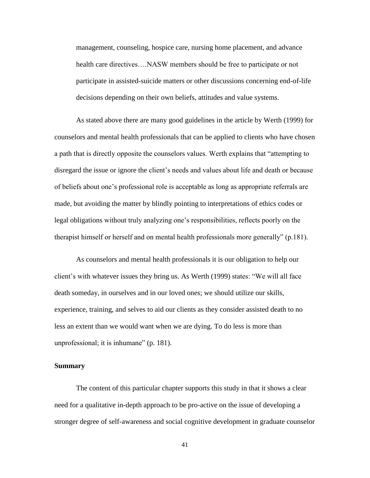management, counseling, hospice care, nursing home placement, and advance health care directives….NASW members should be free to participate or not participate in assisted-suicide matters or other discussions concerning end-of-life decisions depending on their own beliefs, attitudes and value systems.

As stated above there are many good guidelines in the article by Werth (1999) for counselors and mental health professionals that can be applied to clients who have chosen a path that is directly opposite the counselors values. Werth explains that "attempting to disregard the issue or ignore the client's needs and values about life and death or because of beliefs about one's professional role is acceptable as long as appropriate referrals are made, but avoiding the matter by blindly pointing to interpretations of ethics codes or legal obligations without truly analyzing one's responsibilities, reflects poorly on the therapist himself or herself and on mental health professionals more generally"  $(p.181)$ .

As counselors and mental health professionals it is our obligation to help our client's with whatever issues they bring us. As Werth (1999) states: "We will all face death someday, in ourselves and in our loved ones; we should utilize our skills, experience, training, and selves to aid our clients as they consider assisted death to no less an extent than we would want when we are dying. To do less is more than unprofessional; it is inhumane"  $(p. 181)$ .

# **Summary**

The content of this particular chapter supports this study in that it shows a clear need for a qualitative in-depth approach to be pro-active on the issue of developing a stronger degree of self-awareness and social cognitive development in graduate counselor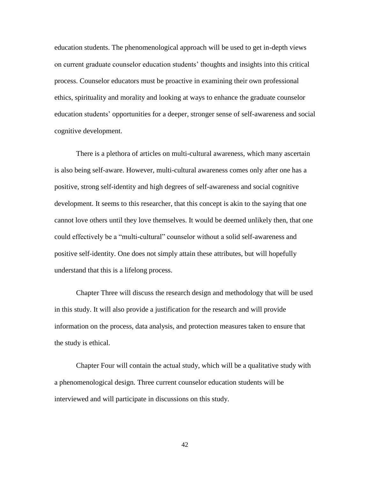education students. The phenomenological approach will be used to get in-depth views on current graduate counselor education students' thoughts and insights into this critical process. Counselor educators must be proactive in examining their own professional ethics, spirituality and morality and looking at ways to enhance the graduate counselor education students' opportunities for a deeper, stronger sense of self-awareness and social cognitive development.

There is a plethora of articles on multi-cultural awareness, which many ascertain is also being self-aware. However, multi-cultural awareness comes only after one has a positive, strong self-identity and high degrees of self-awareness and social cognitive development. It seems to this researcher, that this concept is akin to the saying that one cannot love others until they love themselves. It would be deemed unlikely then, that one could effectively be a "multi-cultural" counselor without a solid self-awareness and positive self-identity. One does not simply attain these attributes, but will hopefully understand that this is a lifelong process.

Chapter Three will discuss the research design and methodology that will be used in this study. It will also provide a justification for the research and will provide information on the process, data analysis, and protection measures taken to ensure that the study is ethical.

Chapter Four will contain the actual study, which will be a qualitative study with a phenomenological design. Three current counselor education students will be interviewed and will participate in discussions on this study.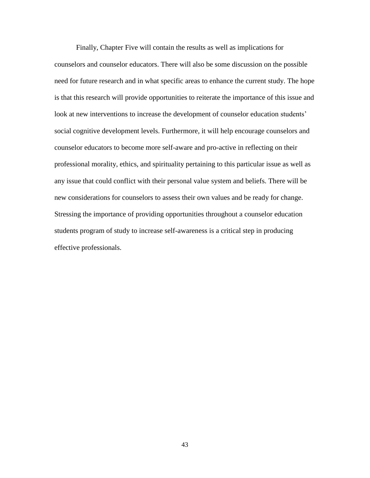Finally, Chapter Five will contain the results as well as implications for counselors and counselor educators. There will also be some discussion on the possible need for future research and in what specific areas to enhance the current study. The hope is that this research will provide opportunities to reiterate the importance of this issue and look at new interventions to increase the development of counselor education students' social cognitive development levels. Furthermore, it will help encourage counselors and counselor educators to become more self-aware and pro-active in reflecting on their professional morality, ethics, and spirituality pertaining to this particular issue as well as any issue that could conflict with their personal value system and beliefs. There will be new considerations for counselors to assess their own values and be ready for change. Stressing the importance of providing opportunities throughout a counselor education students program of study to increase self-awareness is a critical step in producing effective professionals.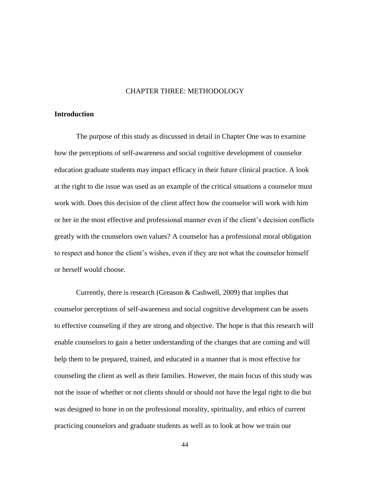#### CHAPTER THREE: METHODOLOGY

# **Introduction**

The purpose of this study as discussed in detail in Chapter One was to examine how the perceptions of self-awareness and social cognitive development of counselor education graduate students may impact efficacy in their future clinical practice. A look at the right to die issue was used as an example of the critical situations a counselor must work with. Does this decision of the client affect how the counselor will work with him or her in the most effective and professional manner even if the client's decision conflicts greatly with the counselors own values? A counselor has a professional moral obligation to respect and honor the client's wishes, even if they are not what the counselor himself or herself would choose.

Currently, there is research (Greason & Cashwell, 2009) that implies that counselor perceptions of self-awareness and social cognitive development can be assets to effective counseling if they are strong and objective. The hope is that this research will enable counselors to gain a better understanding of the changes that are coming and will help them to be prepared, trained, and educated in a manner that is most effective for counseling the client as well as their families. However, the main focus of this study was not the issue of whether or not clients should or should not have the legal right to die but was designed to hone in on the professional morality, spirituality, and ethics of current practicing counselors and graduate students as well as to look at how we train our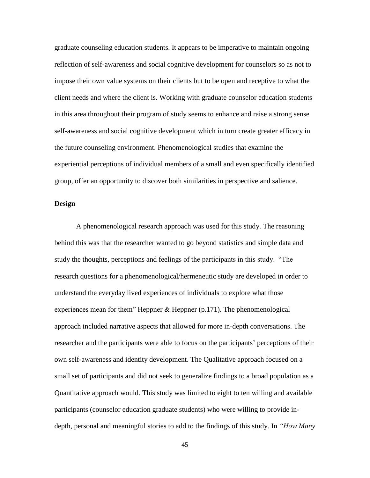graduate counseling education students. It appears to be imperative to maintain ongoing reflection of self-awareness and social cognitive development for counselors so as not to impose their own value systems on their clients but to be open and receptive to what the client needs and where the client is. Working with graduate counselor education students in this area throughout their program of study seems to enhance and raise a strong sense self-awareness and social cognitive development which in turn create greater efficacy in the future counseling environment. Phenomenological studies that examine the experiential perceptions of individual members of a small and even specifically identified group, offer an opportunity to discover both similarities in perspective and salience.

# **Design**

A phenomenological research approach was used for this study. The reasoning behind this was that the researcher wanted to go beyond statistics and simple data and study the thoughts, perceptions and feelings of the participants in this study. "The research questions for a phenomenological/hermeneutic study are developed in order to understand the everyday lived experiences of individuals to explore what those experiences mean for them<sup>"</sup> Heppner  $\&$  Heppner (p.171). The phenomenological approach included narrative aspects that allowed for more in-depth conversations. The researcher and the participants were able to focus on the participants' perceptions of their own self-awareness and identity development. The Qualitative approach focused on a small set of participants and did not seek to generalize findings to a broad population as a Quantitative approach would. This study was limited to eight to ten willing and available participants (counselor education graduate students) who were willing to provide indepth, personal and meaningful stories to add to the findings of this study. In *"How Many*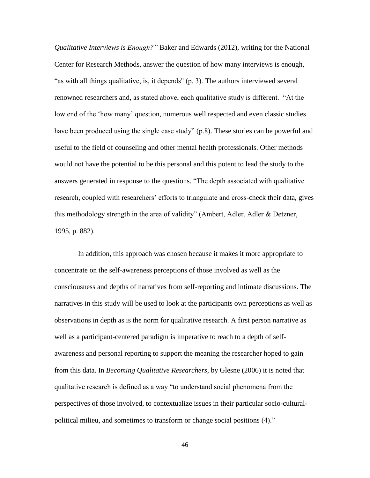*Qualitative Interviews is Enough?"* Baker and Edwards (2012), writing for the National Center for Research Methods, answer the question of how many interviews is enough, "as with all things qualitative, is, it depends" (p. 3). The authors interviewed several renowned researchers and, as stated above, each qualitative study is different. "At the low end of the 'how many' question, numerous well respected and even classic studies have been produced using the single case study" (p.8). These stories can be powerful and useful to the field of counseling and other mental health professionals. Other methods would not have the potential to be this personal and this potent to lead the study to the answers generated in response to the questions. "The depth associated with qualitative research, coupled with researchers' efforts to triangulate and cross-check their data, gives this methodology strength in the area of validity" (Ambert, Adler, Adler & Detzner, 1995, p. 882).

In addition, this approach was chosen because it makes it more appropriate to concentrate on the self-awareness perceptions of those involved as well as the consciousness and depths of narratives from self-reporting and intimate discussions. The narratives in this study will be used to look at the participants own perceptions as well as observations in depth as is the norm for qualitative research. A first person narrative as well as a participant-centered paradigm is imperative to reach to a depth of selfawareness and personal reporting to support the meaning the researcher hoped to gain from this data. In *Becoming Qualitative Researchers*, by Glesne (2006) it is noted that qualitative research is defined as a way "to understand social phenomena from the perspectives of those involved, to contextualize issues in their particular socio-culturalpolitical milieu, and sometimes to transform or change social positions (4)."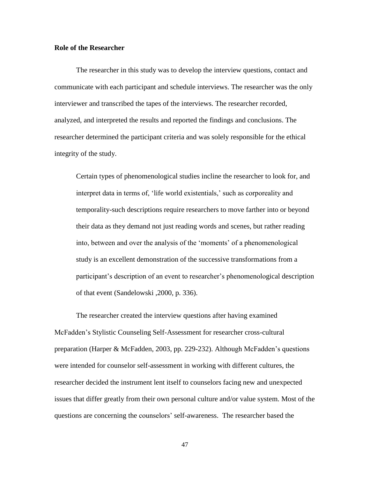### **Role of the Researcher**

The researcher in this study was to develop the interview questions, contact and communicate with each participant and schedule interviews. The researcher was the only interviewer and transcribed the tapes of the interviews. The researcher recorded, analyzed, and interpreted the results and reported the findings and conclusions. The researcher determined the participant criteria and was solely responsible for the ethical integrity of the study.

Certain types of phenomenological studies incline the researcher to look for, and interpret data in terms of, 'life world existentials,' such as corporeality and temporality-such descriptions require researchers to move farther into or beyond their data as they demand not just reading words and scenes, but rather reading into, between and over the analysis of the 'moments' of a phenomenological study is an excellent demonstration of the successive transformations from a participant's description of an event to researcher's phenomenological description of that event (Sandelowski ,2000, p. 336).

The researcher created the interview questions after having examined McFadden's Stylistic Counseling Self-Assessment for researcher cross-cultural preparation (Harper & McFadden, 2003, pp. 229-232). Although McFadden's questions were intended for counselor self-assessment in working with different cultures, the researcher decided the instrument lent itself to counselors facing new and unexpected issues that differ greatly from their own personal culture and/or value system. Most of the questions are concerning the counselors' self-awareness.The researcher based the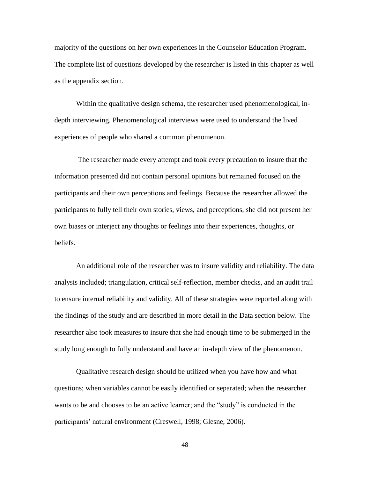majority of the questions on her own experiences in the Counselor Education Program. The complete list of questions developed by the researcher is listed in this chapter as well as the appendix section.

Within the qualitative design schema, the researcher used phenomenological, indepth interviewing. Phenomenological interviews were used to understand the lived experiences of people who shared a common phenomenon.

The researcher made every attempt and took every precaution to insure that the information presented did not contain personal opinions but remained focused on the participants and their own perceptions and feelings. Because the researcher allowed the participants to fully tell their own stories, views, and perceptions, she did not present her own biases or interject any thoughts or feelings into their experiences, thoughts, or beliefs.

An additional role of the researcher was to insure validity and reliability. The data analysis included; triangulation, critical self-reflection, member checks, and an audit trail to ensure internal reliability and validity. All of these strategies were reported along with the findings of the study and are described in more detail in the Data section below. The researcher also took measures to insure that she had enough time to be submerged in the study long enough to fully understand and have an in-depth view of the phenomenon.

Qualitative research design should be utilized when you have how and what questions; when variables cannot be easily identified or separated; when the researcher wants to be and chooses to be an active learner; and the "study" is conducted in the participants' natural environment (Creswell, 1998; Glesne, 2006).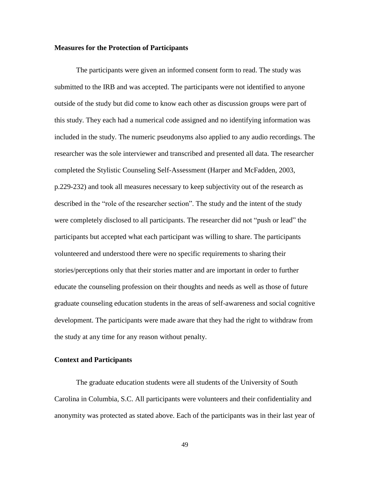#### **Measures for the Protection of Participants**

The participants were given an informed consent form to read. The study was submitted to the IRB and was accepted. The participants were not identified to anyone outside of the study but did come to know each other as discussion groups were part of this study. They each had a numerical code assigned and no identifying information was included in the study. The numeric pseudonyms also applied to any audio recordings. The researcher was the sole interviewer and transcribed and presented all data. The researcher completed the Stylistic Counseling Self-Assessment (Harper and McFadden, 2003, p.229-232) and took all measures necessary to keep subjectivity out of the research as described in the "role of the researcher section". The study and the intent of the study were completely disclosed to all participants. The researcher did not "push or lead" the participants but accepted what each participant was willing to share. The participants volunteered and understood there were no specific requirements to sharing their stories/perceptions only that their stories matter and are important in order to further educate the counseling profession on their thoughts and needs as well as those of future graduate counseling education students in the areas of self-awareness and social cognitive development. The participants were made aware that they had the right to withdraw from the study at any time for any reason without penalty.

# **Context and Participants**

The graduate education students were all students of the University of South Carolina in Columbia, S.C. All participants were volunteers and their confidentiality and anonymity was protected as stated above. Each of the participants was in their last year of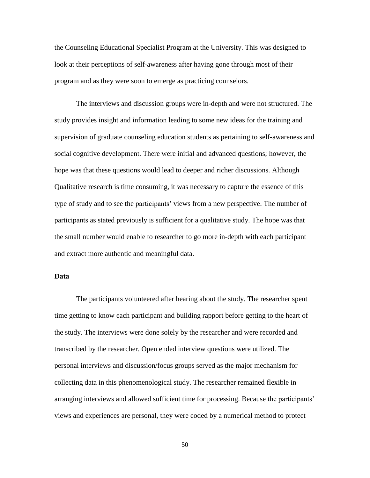the Counseling Educational Specialist Program at the University. This was designed to look at their perceptions of self-awareness after having gone through most of their program and as they were soon to emerge as practicing counselors.

The interviews and discussion groups were in-depth and were not structured. The study provides insight and information leading to some new ideas for the training and supervision of graduate counseling education students as pertaining to self-awareness and social cognitive development. There were initial and advanced questions; however, the hope was that these questions would lead to deeper and richer discussions. Although Qualitative research is time consuming, it was necessary to capture the essence of this type of study and to see the participants' views from a new perspective. The number of participants as stated previously is sufficient for a qualitative study. The hope was that the small number would enable to researcher to go more in-depth with each participant and extract more authentic and meaningful data.

# **Data**

The participants volunteered after hearing about the study. The researcher spent time getting to know each participant and building rapport before getting to the heart of the study. The interviews were done solely by the researcher and were recorded and transcribed by the researcher. Open ended interview questions were utilized. The personal interviews and discussion/focus groups served as the major mechanism for collecting data in this phenomenological study. The researcher remained flexible in arranging interviews and allowed sufficient time for processing. Because the participants' views and experiences are personal, they were coded by a numerical method to protect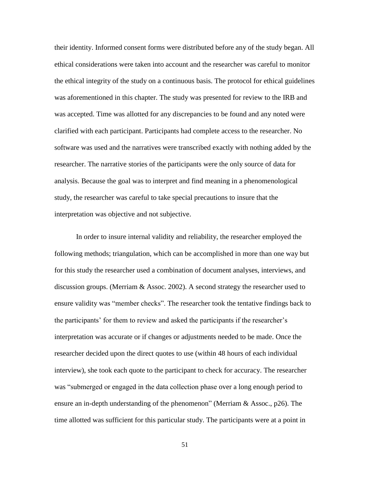their identity. Informed consent forms were distributed before any of the study began. All ethical considerations were taken into account and the researcher was careful to monitor the ethical integrity of the study on a continuous basis. The protocol for ethical guidelines was aforementioned in this chapter. The study was presented for review to the IRB and was accepted. Time was allotted for any discrepancies to be found and any noted were clarified with each participant. Participants had complete access to the researcher. No software was used and the narratives were transcribed exactly with nothing added by the researcher. The narrative stories of the participants were the only source of data for analysis. Because the goal was to interpret and find meaning in a phenomenological study, the researcher was careful to take special precautions to insure that the interpretation was objective and not subjective.

In order to insure internal validity and reliability, the researcher employed the following methods; triangulation, which can be accomplished in more than one way but for this study the researcher used a combination of document analyses, interviews, and discussion groups. (Merriam & Assoc. 2002). A second strategy the researcher used to ensure validity was "member checks". The researcher took the tentative findings back to the participants' for them to review and asked the participants if the researcher's interpretation was accurate or if changes or adjustments needed to be made. Once the researcher decided upon the direct quotes to use (within 48 hours of each individual interview), she took each quote to the participant to check for accuracy. The researcher was "submerged or engaged in the data collection phase over a long enough period to ensure an in-depth understanding of the phenomenon" (Merriam  $&$  Assoc., p26). The time allotted was sufficient for this particular study. The participants were at a point in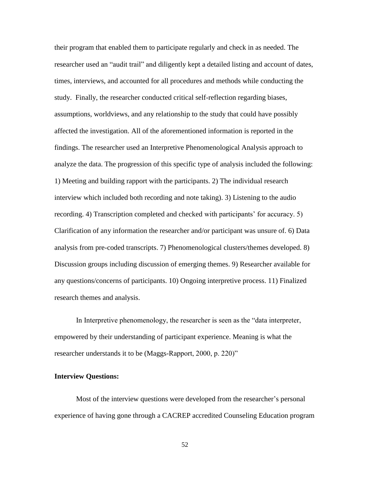their program that enabled them to participate regularly and check in as needed. The researcher used an "audit trail" and diligently kept a detailed listing and account of dates, times, interviews, and accounted for all procedures and methods while conducting the study. Finally, the researcher conducted critical self-reflection regarding biases, assumptions, worldviews, and any relationship to the study that could have possibly affected the investigation. All of the aforementioned information is reported in the findings. The researcher used an Interpretive Phenomenological Analysis approach to analyze the data. The progression of this specific type of analysis included the following: 1) Meeting and building rapport with the participants. 2) The individual research interview which included both recording and note taking). 3) Listening to the audio recording. 4) Transcription completed and checked with participants' for accuracy. 5) Clarification of any information the researcher and/or participant was unsure of. 6) Data analysis from pre-coded transcripts. 7) Phenomenological clusters/themes developed. 8) Discussion groups including discussion of emerging themes. 9) Researcher available for any questions/concerns of participants. 10) Ongoing interpretive process. 11) Finalized research themes and analysis.

In Interpretive phenomenology, the researcher is seen as the "data interpreter, empowered by their understanding of participant experience. Meaning is what the researcher understands it to be (Maggs-Rapport, 2000, p. 220)"

# **Interview Questions:**

Most of the interview questions were developed from the researcher's personal experience of having gone through a CACREP accredited Counseling Education program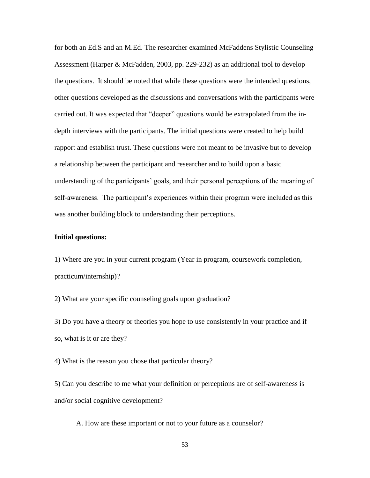for both an Ed.S and an M.Ed. The researcher examined McFaddens Stylistic Counseling Assessment (Harper & McFadden, 2003, pp. 229-232) as an additional tool to develop the questions. It should be noted that while these questions were the intended questions, other questions developed as the discussions and conversations with the participants were carried out. It was expected that "deeper" questions would be extrapolated from the indepth interviews with the participants. The initial questions were created to help build rapport and establish trust. These questions were not meant to be invasive but to develop a relationship between the participant and researcher and to build upon a basic understanding of the participants' goals, and their personal perceptions of the meaning of self-awareness. The participant's experiences within their program were included as this was another building block to understanding their perceptions.

### **Initial questions:**

1) Where are you in your current program (Year in program, coursework completion, practicum/internship)?

2) What are your specific counseling goals upon graduation?

3) Do you have a theory or theories you hope to use consistently in your practice and if so, what is it or are they?

4) What is the reason you chose that particular theory?

5) Can you describe to me what your definition or perceptions are of self-awareness is and/or social cognitive development?

A. How are these important or not to your future as a counselor?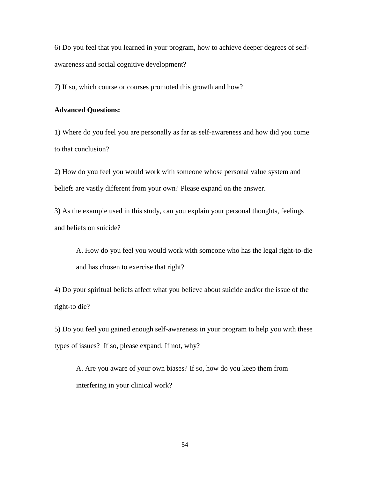6) Do you feel that you learned in your program, how to achieve deeper degrees of selfawareness and social cognitive development?

7) If so, which course or courses promoted this growth and how?

# **Advanced Questions:**

1) Where do you feel you are personally as far as self-awareness and how did you come to that conclusion?

2) How do you feel you would work with someone whose personal value system and beliefs are vastly different from your own? Please expand on the answer.

3) As the example used in this study, can you explain your personal thoughts, feelings and beliefs on suicide?

A. How do you feel you would work with someone who has the legal right-to-die and has chosen to exercise that right?

4) Do your spiritual beliefs affect what you believe about suicide and/or the issue of the right-to die?

5) Do you feel you gained enough self-awareness in your program to help you with these types of issues? If so, please expand. If not, why?

A. Are you aware of your own biases? If so, how do you keep them from interfering in your clinical work?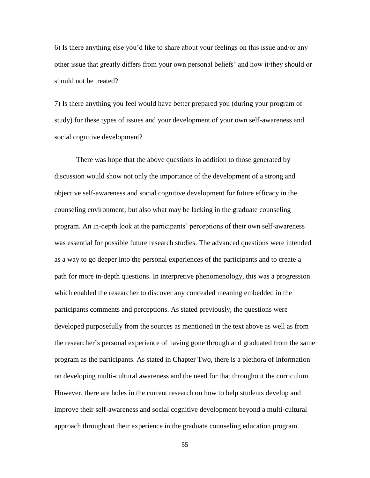6) Is there anything else you'd like to share about your feelings on this issue and/or any other issue that greatly differs from your own personal beliefs' and how it/they should or should not be treated?

7) Is there anything you feel would have better prepared you (during your program of study) for these types of issues and your development of your own self-awareness and social cognitive development?

There was hope that the above questions in addition to those generated by discussion would show not only the importance of the development of a strong and objective self-awareness and social cognitive development for future efficacy in the counseling environment; but also what may be lacking in the graduate counseling program. An in-depth look at the participants' perceptions of their own self-awareness was essential for possible future research studies. The advanced questions were intended as a way to go deeper into the personal experiences of the participants and to create a path for more in-depth questions. In interpretive phenomenology, this was a progression which enabled the researcher to discover any concealed meaning embedded in the participants comments and perceptions. As stated previously, the questions were developed purposefully from the sources as mentioned in the text above as well as from the researcher's personal experience of having gone through and graduated from the same program as the participants. As stated in Chapter Two, there is a plethora of information on developing multi-cultural awareness and the need for that throughout the curriculum. However, there are holes in the current research on how to help students develop and improve their self-awareness and social cognitive development beyond a multi-cultural approach throughout their experience in the graduate counseling education program.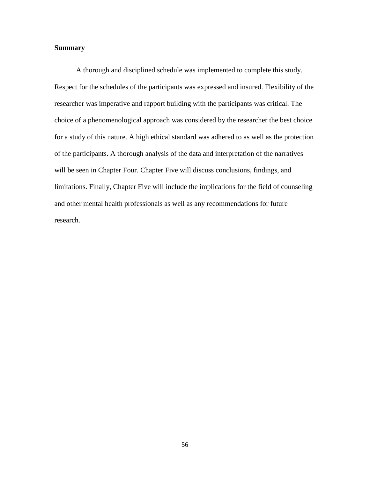# **Summary**

A thorough and disciplined schedule was implemented to complete this study. Respect for the schedules of the participants was expressed and insured. Flexibility of the researcher was imperative and rapport building with the participants was critical. The choice of a phenomenological approach was considered by the researcher the best choice for a study of this nature. A high ethical standard was adhered to as well as the protection of the participants. A thorough analysis of the data and interpretation of the narratives will be seen in Chapter Four. Chapter Five will discuss conclusions, findings, and limitations. Finally, Chapter Five will include the implications for the field of counseling and other mental health professionals as well as any recommendations for future research.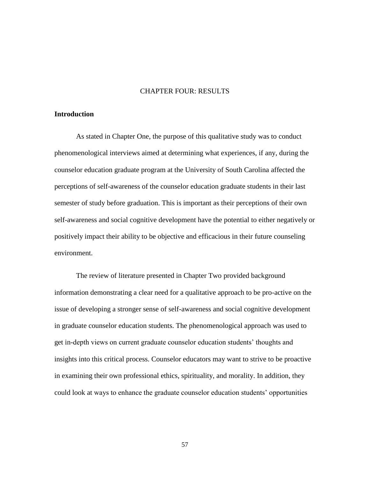### CHAPTER FOUR: RESULTS

# **Introduction**

As stated in Chapter One, the purpose of this qualitative study was to conduct phenomenological interviews aimed at determining what experiences, if any, during the counselor education graduate program at the University of South Carolina affected the perceptions of self-awareness of the counselor education graduate students in their last semester of study before graduation. This is important as their perceptions of their own self-awareness and social cognitive development have the potential to either negatively or positively impact their ability to be objective and efficacious in their future counseling environment.

The review of literature presented in Chapter Two provided background information demonstrating a clear need for a qualitative approach to be pro-active on the issue of developing a stronger sense of self-awareness and social cognitive development in graduate counselor education students. The phenomenological approach was used to get in-depth views on current graduate counselor education students' thoughts and insights into this critical process. Counselor educators may want to strive to be proactive in examining their own professional ethics, spirituality, and morality. In addition, they could look at ways to enhance the graduate counselor education students' opportunities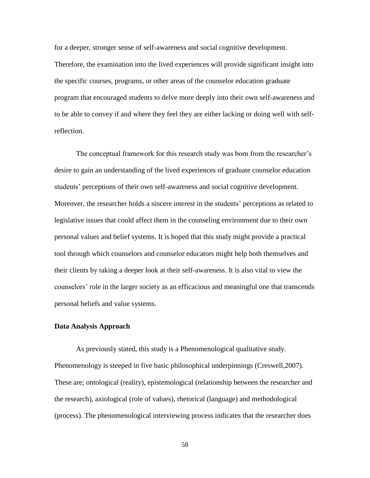for a deeper, stronger sense of self-awareness and social cognitive development. Therefore, the examination into the lived experiences will provide significant insight into the specific courses, programs, or other areas of the counselor education graduate program that encouraged students to delve more deeply into their own self-awareness and to be able to convey if and where they feel they are either lacking or doing well with selfreflection.

The conceptual framework for this research study was born from the researcher's desire to gain an understanding of the lived experiences of graduate counselor education students' perceptions of their own self-awareness and social cognitive development. Moreover, the researcher holds a sincere interest in the students' perceptions as related to legislative issues that could affect them in the counseling environment due to their own personal values and belief systems. It is hoped that this study might provide a practical tool through which counselors and counselor educators might help both themselves and their clients by taking a deeper look at their self-awareness. It is also vital to view the counselors' role in the larger society as an efficacious and meaningful one that transcends personal beliefs and value systems.

### **Data Analysis Approach**

As previously stated, this study is a Phenomenological qualitative study. Phenomenology is steeped in five basic philosophical underpinnings (Creswell,2007). These are; ontological (reality), epistemological (relationship between the researcher and the research), axiological (role of values), rhetorical (language) and methodological (process). The phenomenological interviewing process indicates that the researcher does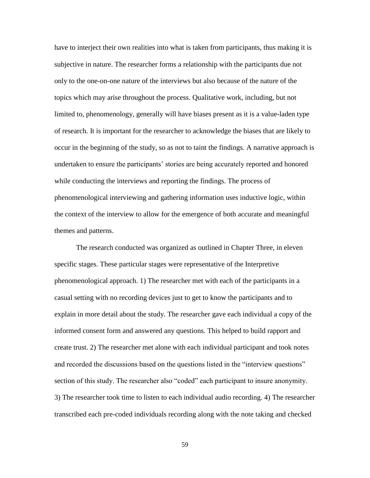have to interject their own realities into what is taken from participants, thus making it is subjective in nature. The researcher forms a relationship with the participants due not only to the one-on-one nature of the interviews but also because of the nature of the topics which may arise throughout the process. Qualitative work, including, but not limited to, phenomenology, generally will have biases present as it is a value-laden type of research. It is important for the researcher to acknowledge the biases that are likely to occur in the beginning of the study, so as not to taint the findings. A narrative approach is undertaken to ensure the participants' stories are being accurately reported and honored while conducting the interviews and reporting the findings. The process of phenomenological interviewing and gathering information uses inductive logic, within the context of the interview to allow for the emergence of both accurate and meaningful themes and patterns.

The research conducted was organized as outlined in Chapter Three, in eleven specific stages. These particular stages were representative of the Interpretive phenomenological approach. 1) The researcher met with each of the participants in a casual setting with no recording devices just to get to know the participants and to explain in more detail about the study. The researcher gave each individual a copy of the informed consent form and answered any questions. This helped to build rapport and create trust. 2) The researcher met alone with each individual participant and took notes and recorded the discussions based on the questions listed in the "interview questions" section of this study. The researcher also "coded" each participant to insure anonymity. 3) The researcher took time to listen to each individual audio recording. 4) The researcher transcribed each pre-coded individuals recording along with the note taking and checked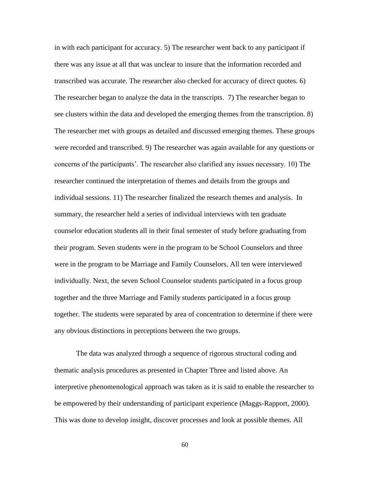in with each participant for accuracy. 5) The researcher went back to any participant if there was any issue at all that was unclear to insure that the information recorded and transcribed was accurate. The researcher also checked for accuracy of direct quotes. 6) The researcher began to analyze the data in the transcripts. 7) The researcher began to see clusters within the data and developed the emerging themes from the transcription. 8) The researcher met with groups as detailed and discussed emerging themes. These groups were recorded and transcribed. 9) The researcher was again available for any questions or concerns of the participants'. The researcher also clarified any issues necessary. 10) The researcher continued the interpretation of themes and details from the groups and individual sessions. 11) The researcher finalized the research themes and analysis. In summary, the researcher held a series of individual interviews with ten graduate counselor education students all in their final semester of study before graduating from their program. Seven students were in the program to be School Counselors and three were in the program to be Marriage and Family Counselors. All ten were interviewed individually. Next, the seven School Counselor students participated in a focus group together and the three Marriage and Family students participated in a focus group together. The students were separated by area of concentration to determine if there were any obvious distinctions in perceptions between the two groups.

The data was analyzed through a sequence of rigorous structural coding and thematic analysis procedures as presented in Chapter Three and listed above. An interpretive phenomenological approach was taken as it is said to enable the researcher to be empowered by their understanding of participant experience (Maggs-Rapport, 2000). This was done to develop insight, discover processes and look at possible themes. All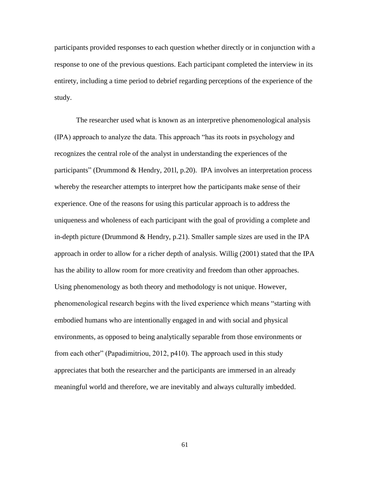participants provided responses to each question whether directly or in conjunction with a response to one of the previous questions. Each participant completed the interview in its entirety, including a time period to debrief regarding perceptions of the experience of the study.

The researcher used what is known as an interpretive phenomenological analysis (IPA) approach to analyze the data. This approach "has its roots in psychology and recognizes the central role of the analyst in understanding the experiences of the participants" (Drummond & Hendry, 2011, p.20). IPA involves an interpretation process whereby the researcher attempts to interpret how the participants make sense of their experience. One of the reasons for using this particular approach is to address the uniqueness and wholeness of each participant with the goal of providing a complete and in-depth picture (Drummond & Hendry, p.21). Smaller sample sizes are used in the IPA approach in order to allow for a richer depth of analysis. Willig (2001) stated that the IPA has the ability to allow room for more creativity and freedom than other approaches. Using phenomenology as both theory and methodology is not unique. However, phenomenological research begins with the lived experience which means "starting with embodied humans who are intentionally engaged in and with social and physical environments, as opposed to being analytically separable from those environments or from each other" (Papadimitriou, 2012,  $p410$ ). The approach used in this study appreciates that both the researcher and the participants are immersed in an already meaningful world and therefore, we are inevitably and always culturally imbedded.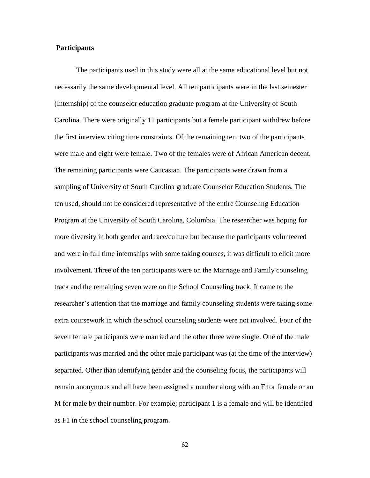# **Participants**

The participants used in this study were all at the same educational level but not necessarily the same developmental level. All ten participants were in the last semester (Internship) of the counselor education graduate program at the University of South Carolina. There were originally 11 participants but a female participant withdrew before the first interview citing time constraints. Of the remaining ten, two of the participants were male and eight were female. Two of the females were of African American decent. The remaining participants were Caucasian. The participants were drawn from a sampling of University of South Carolina graduate Counselor Education Students. The ten used, should not be considered representative of the entire Counseling Education Program at the University of South Carolina, Columbia. The researcher was hoping for more diversity in both gender and race/culture but because the participants volunteered and were in full time internships with some taking courses, it was difficult to elicit more involvement. Three of the ten participants were on the Marriage and Family counseling track and the remaining seven were on the School Counseling track. It came to the researcher's attention that the marriage and family counseling students were taking some extra coursework in which the school counseling students were not involved. Four of the seven female participants were married and the other three were single. One of the male participants was married and the other male participant was (at the time of the interview) separated. Other than identifying gender and the counseling focus, the participants will remain anonymous and all have been assigned a number along with an F for female or an M for male by their number. For example; participant 1 is a female and will be identified as F1 in the school counseling program.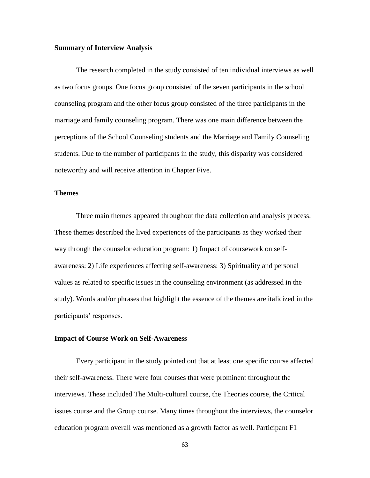# **Summary of Interview Analysis**

The research completed in the study consisted of ten individual interviews as well as two focus groups. One focus group consisted of the seven participants in the school counseling program and the other focus group consisted of the three participants in the marriage and family counseling program. There was one main difference between the perceptions of the School Counseling students and the Marriage and Family Counseling students. Due to the number of participants in the study, this disparity was considered noteworthy and will receive attention in Chapter Five.

# **Themes**

Three main themes appeared throughout the data collection and analysis process. These themes described the lived experiences of the participants as they worked their way through the counselor education program: 1) Impact of coursework on selfawareness: 2) Life experiences affecting self-awareness: 3) Spirituality and personal values as related to specific issues in the counseling environment (as addressed in the study). Words and/or phrases that highlight the essence of the themes are italicized in the participants' responses.

## **Impact of Course Work on Self-Awareness**

Every participant in the study pointed out that at least one specific course affected their self-awareness. There were four courses that were prominent throughout the interviews. These included The Multi-cultural course, the Theories course, the Critical issues course and the Group course. Many times throughout the interviews, the counselor education program overall was mentioned as a growth factor as well. Participant F1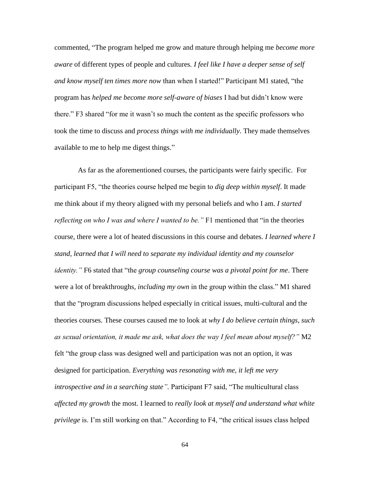commented, ―The program helped me grow and mature through helping me *become more aware* of different types of people and cultures*. I feel like I have a deeper sense of self and know myself ten times more now than when I started!*" Participant M1 stated, "the program has *helped me become more self-aware of biases* I had but didn't know were there." F3 shared "for me it wasn't so much the content as the specific professors who took the time to discuss and *process things with me individually*. They made themselves available to me to help me digest things."

As far as the aforementioned courses, the participants were fairly specific. For participant F5, "the theories course helped me begin to *dig deep within myself*. It made me think about if my theory aligned with my personal beliefs and who I am. *I started reflecting on who I was and where I wanted to be.* " F1 mentioned that "in the theories course, there were a lot of heated discussions in this course and debates. *I learned where I stand, learned that I will need to separate my individual identity and my counselor identity.*" F6 stated that "the *group counseling course was a pivotal point for me*. There were a lot of breakthroughs, *including my own* in the group within the class." M1 shared that the "program discussions helped especially in critical issues, multi-cultural and the theories courses. These courses caused me to look at *why I do believe certain things, such as sexual orientation, it made me ask, what does the way I feel mean about myself?"* M2 felt "the group class was designed well and participation was not an option, it was designed for participation. *Everything was resonating with me, it left me very introspective and in a searching state".* Participant F7 said, "The multicultural class *affected my growth* the most. I learned to *really look at myself and understand what white privilege* is. I'm still working on that." According to F4, "the critical issues class helped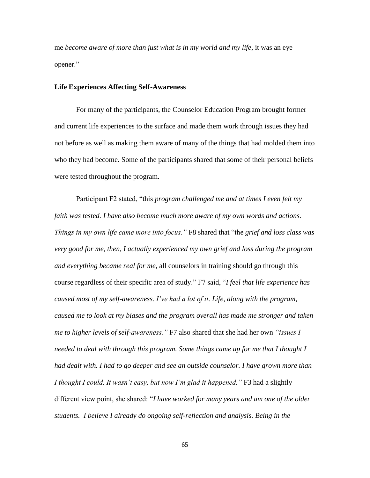me *become aware of more than just what is in my world and my life*, it was an eye opener."

# **Life Experiences Affecting Self-Awareness**

For many of the participants, the Counselor Education Program brought former and current life experiences to the surface and made them work through issues they had not before as well as making them aware of many of the things that had molded them into who they had become. Some of the participants shared that some of their personal beliefs were tested throughout the program.

Participant F2 stated, "this *program challenged me and at times I even felt my faith was tested. I have also become much more aware of my own words and actions. Things in my own life came more into focus.* " F8 shared that "the *grief and loss class was very good for me, then, I actually experienced my own grief and loss during the program and everything became real for me,* all counselors in training should go through this course regardless of their specific area of study." F7 said, "I feel that life experience has *caused most of my self-awareness. I've had a lot of it. Life, along with the program, caused me to look at my biases and the program overall has made me stronger and taken me to higher levels of self-awareness."* F7 also shared that she had her own *"issues I needed to deal with through this program. Some things came up for me that I thought I had dealt with. I had to go deeper and see an outside counselor. I have grown more than I thought I could. It wasn't easy, but now I'm glad it happened."* F3 had a slightly different view point, she shared: "*I have worked for many years and am one of the older students. I believe I already do ongoing self-reflection and analysis. Being in the*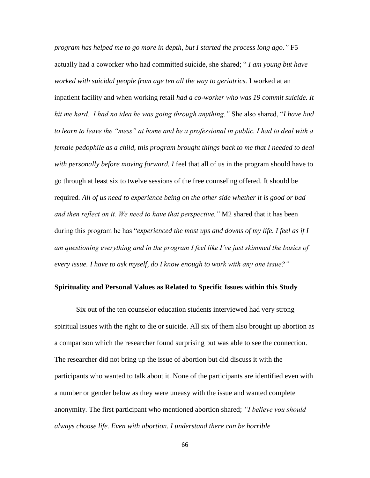*program has helped me to go more in depth, but I started the process long ago."* F5 actually had a coworker who had committed suicide, she shared; ― *I am young but have worked with suicidal people from age ten all the way to geriatrics.* I worked at an inpatient facility and when working retail *had a co-worker who was 19 commit suicide. It hit me hard. I had no idea he was going through anything."* She also shared, ―*I have had to learn to leave the "mess" at home and be a professional in public. I had to deal with a female pedophile as a child, this program brought things back to me that I needed to deal with personally before moving forward. I* feel that all of us in the program should have to go through at least six to twelve sessions of the free counseling offered. It should be required*. All of us need to experience being on the other side whether it is good or bad and then reflect on it. We need to have that perspective."* M2 shared that it has been during this program he has "*experienced the most ups and downs of my life. I feel as if I am questioning everything and in the program I feel like I've just skimmed the basics of every issue. I have to ask myself, do I know enough to work with any one issue?"*

# **Spirituality and Personal Values as Related to Specific Issues within this Study**

Six out of the ten counselor education students interviewed had very strong spiritual issues with the right to die or suicide. All six of them also brought up abortion as a comparison which the researcher found surprising but was able to see the connection. The researcher did not bring up the issue of abortion but did discuss it with the participants who wanted to talk about it. None of the participants are identified even with a number or gender below as they were uneasy with the issue and wanted complete anonymity. The first participant who mentioned abortion shared; *"I believe you should always choose life. Even with abortion. I understand there can be horrible*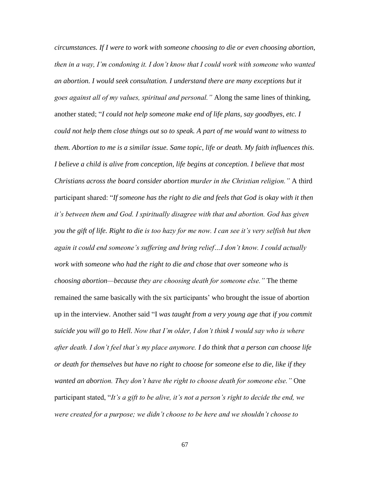*circumstances. If I were to work with someone choosing to die or even choosing abortion, then in a way, I'm condoning it. I don't know that I could work with someone who wanted an abortion. I would seek consultation. I understand there are many exceptions but it goes against all of my values, spiritual and personal."* Along the same lines of thinking, another stated; ―*I could not help someone make end of life plans, say goodbyes, etc. I could not help them close things out so to speak. A part of me would want to witness to them. Abortion to me is a similar issue. Same topic, life or death. My faith influences this. I believe a child is alive from conception, life begins at conception. I believe that most Christians across the board consider abortion murder in the Christian religion."* A third participant shared: "If someone has the right to die and feels that God is okay with it then *it's between them and God. I spiritually disagree with that and abortion. God has given you the gift of life. Right to die is too hazy for me now. I can see it's very selfish but then again it could end someone's suffering and bring relief…I don't know. I could actually work with someone who had the right to die and chose that over someone who is choosing abortion—because they are choosing death for someone else."* The theme remained the same basically with the six participants' who brought the issue of abortion up in the interview. Another said "I *was taught from a very young age that if you commit suicide you will go to Hell. Now that I'm older, I don't think I would say who is where after death. I don't feel that's my place anymore. I do think that a person can choose life or death for themselves but have no right to choose for someone else to die, like if they wanted an abortion. They don't have the right to choose death for someone else."* One participant stated, "It's a gift to be alive, it's not a person's right to decide the end, we *were created for a purpose; we didn't choose to be here and we shouldn't choose to*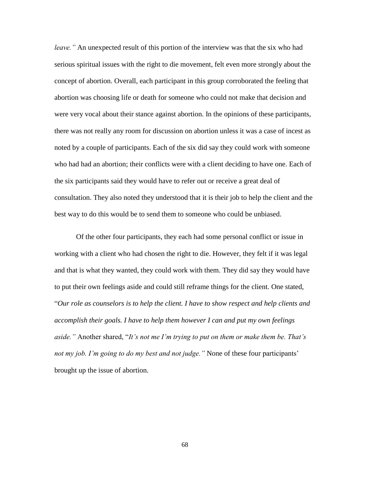*leave.*" An unexpected result of this portion of the interview was that the six who had serious spiritual issues with the right to die movement, felt even more strongly about the concept of abortion. Overall, each participant in this group corroborated the feeling that abortion was choosing life or death for someone who could not make that decision and were very vocal about their stance against abortion. In the opinions of these participants, there was not really any room for discussion on abortion unless it was a case of incest as noted by a couple of participants. Each of the six did say they could work with someone who had had an abortion; their conflicts were with a client deciding to have one. Each of the six participants said they would have to refer out or receive a great deal of consultation. They also noted they understood that it is their job to help the client and the best way to do this would be to send them to someone who could be unbiased.

Of the other four participants, they each had some personal conflict or issue in working with a client who had chosen the right to die. However, they felt if it was legal and that is what they wanted, they could work with them. They did say they would have to put their own feelings aside and could still reframe things for the client. One stated, ―*Our role as counselors is to help the client. I have to show respect and help clients and accomplish their goals. I have to help them however I can and put my own feelings*  aside." Another shared, "It's not me I'm trying to put on them or make them be. That's *not my job. I'm going to do my best and not judge."* None of these four participants' brought up the issue of abortion.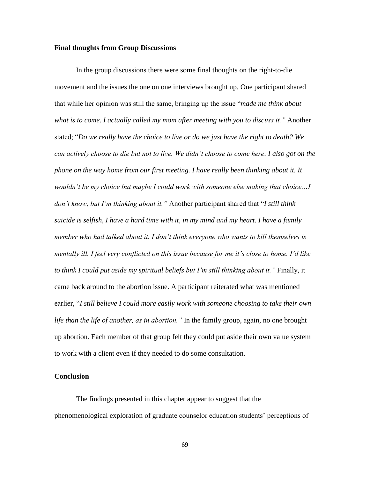# **Final thoughts from Group Discussions**

In the group discussions there were some final thoughts on the right-to-die movement and the issues the one on one interviews brought up. One participant shared that while her opinion was still the same, bringing up the issue "*made me think about what is to come. I actually called my mom after meeting with you to discuss it."* Another stated; ―*Do we really have the choice to live or do we just have the right to death? We can actively choose to die but not to live. We didn't choose to come here. I also got on the phone on the way home from our first meeting. I have really been thinking about it. It wouldn't be my choice but maybe I could work with someone else making that choice…I don't know, but I'm thinking about it.*" Another participant shared that "I still think *suicide is selfish, I have a hard time with it, in my mind and my heart. I have a family member who had talked about it. I don't think everyone who wants to kill themselves is mentally ill. I feel very conflicted on this issue because for me it's close to home. I'd like to think I could put aside my spiritual beliefs but I'm still thinking about it."* Finally, it came back around to the abortion issue. A participant reiterated what was mentioned earlier, "I still believe I could more easily work with someone choosing to take their own *life than the life of another, as in abortion."* In the family group, again, no one brought up abortion. Each member of that group felt they could put aside their own value system to work with a client even if they needed to do some consultation.

# **Conclusion**

The findings presented in this chapter appear to suggest that the phenomenological exploration of graduate counselor education students' perceptions of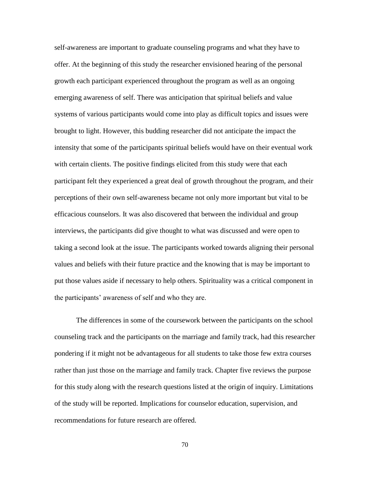self-awareness are important to graduate counseling programs and what they have to offer. At the beginning of this study the researcher envisioned hearing of the personal growth each participant experienced throughout the program as well as an ongoing emerging awareness of self. There was anticipation that spiritual beliefs and value systems of various participants would come into play as difficult topics and issues were brought to light. However, this budding researcher did not anticipate the impact the intensity that some of the participants spiritual beliefs would have on their eventual work with certain clients. The positive findings elicited from this study were that each participant felt they experienced a great deal of growth throughout the program, and their perceptions of their own self-awareness became not only more important but vital to be efficacious counselors. It was also discovered that between the individual and group interviews, the participants did give thought to what was discussed and were open to taking a second look at the issue. The participants worked towards aligning their personal values and beliefs with their future practice and the knowing that is may be important to put those values aside if necessary to help others. Spirituality was a critical component in the participants' awareness of self and who they are.

The differences in some of the coursework between the participants on the school counseling track and the participants on the marriage and family track, had this researcher pondering if it might not be advantageous for all students to take those few extra courses rather than just those on the marriage and family track. Chapter five reviews the purpose for this study along with the research questions listed at the origin of inquiry. Limitations of the study will be reported. Implications for counselor education, supervision, and recommendations for future research are offered.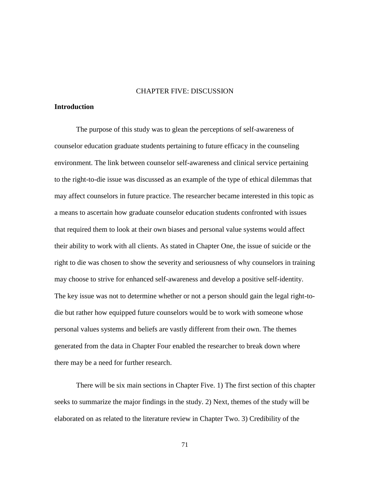#### CHAPTER FIVE: DISCUSSION

# **Introduction**

The purpose of this study was to glean the perceptions of self-awareness of counselor education graduate students pertaining to future efficacy in the counseling environment. The link between counselor self-awareness and clinical service pertaining to the right-to-die issue was discussed as an example of the type of ethical dilemmas that may affect counselors in future practice. The researcher became interested in this topic as a means to ascertain how graduate counselor education students confronted with issues that required them to look at their own biases and personal value systems would affect their ability to work with all clients. As stated in Chapter One, the issue of suicide or the right to die was chosen to show the severity and seriousness of why counselors in training may choose to strive for enhanced self-awareness and develop a positive self-identity. The key issue was not to determine whether or not a person should gain the legal right-todie but rather how equipped future counselors would be to work with someone whose personal values systems and beliefs are vastly different from their own. The themes generated from the data in Chapter Four enabled the researcher to break down where there may be a need for further research.

There will be six main sections in Chapter Five. 1) The first section of this chapter seeks to summarize the major findings in the study. 2) Next, themes of the study will be elaborated on as related to the literature review in Chapter Two. 3) Credibility of the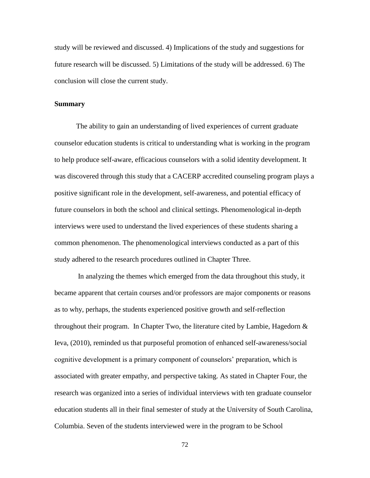study will be reviewed and discussed. 4) Implications of the study and suggestions for future research will be discussed. 5) Limitations of the study will be addressed. 6) The conclusion will close the current study.

#### **Summary**

The ability to gain an understanding of lived experiences of current graduate counselor education students is critical to understanding what is working in the program to help produce self-aware, efficacious counselors with a solid identity development. It was discovered through this study that a CACERP accredited counseling program plays a positive significant role in the development, self-awareness, and potential efficacy of future counselors in both the school and clinical settings. Phenomenological in-depth interviews were used to understand the lived experiences of these students sharing a common phenomenon. The phenomenological interviews conducted as a part of this study adhered to the research procedures outlined in Chapter Three.

In analyzing the themes which emerged from the data throughout this study, it became apparent that certain courses and/or professors are major components or reasons as to why, perhaps, the students experienced positive growth and self-reflection throughout their program. In Chapter Two, the literature cited by Lambie, Hagedorn  $\&$ Ieva, (2010), reminded us that purposeful promotion of enhanced self-awareness/social cognitive development is a primary component of counselors' preparation, which is associated with greater empathy, and perspective taking. As stated in Chapter Four, the research was organized into a series of individual interviews with ten graduate counselor education students all in their final semester of study at the University of South Carolina, Columbia. Seven of the students interviewed were in the program to be School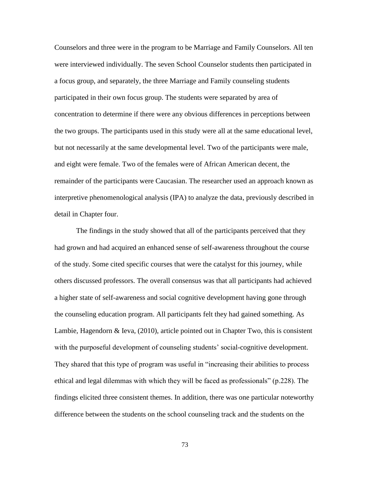Counselors and three were in the program to be Marriage and Family Counselors. All ten were interviewed individually. The seven School Counselor students then participated in a focus group, and separately, the three Marriage and Family counseling students participated in their own focus group. The students were separated by area of concentration to determine if there were any obvious differences in perceptions between the two groups. The participants used in this study were all at the same educational level, but not necessarily at the same developmental level. Two of the participants were male, and eight were female. Two of the females were of African American decent, the remainder of the participants were Caucasian. The researcher used an approach known as interpretive phenomenological analysis (IPA) to analyze the data, previously described in detail in Chapter four.

The findings in the study showed that all of the participants perceived that they had grown and had acquired an enhanced sense of self-awareness throughout the course of the study. Some cited specific courses that were the catalyst for this journey, while others discussed professors. The overall consensus was that all participants had achieved a higher state of self-awareness and social cognitive development having gone through the counseling education program. All participants felt they had gained something. As Lambie, Hagendorn & Ieva, (2010), article pointed out in Chapter Two, this is consistent with the purposeful development of counseling students' social-cognitive development. They shared that this type of program was useful in "increasing their abilities to process ethical and legal dilemmas with which they will be faced as professionals" (p.228). The findings elicited three consistent themes. In addition, there was one particular noteworthy difference between the students on the school counseling track and the students on the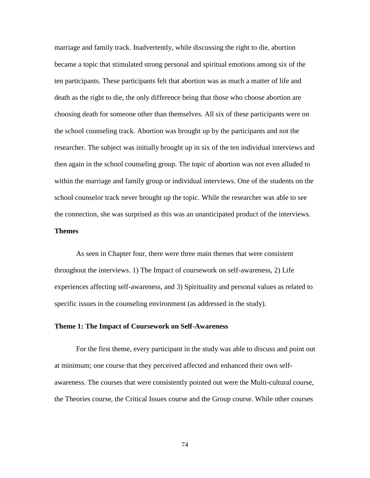marriage and family track. Inadvertently, while discussing the right to die, abortion became a topic that stimulated strong personal and spiritual emotions among six of the ten participants. These participants felt that abortion was as much a matter of life and death as the right to die, the only difference being that those who choose abortion are choosing death for someone other than themselves. All six of these participants were on the school counseling track. Abortion was brought up by the participants and not the researcher. The subject was initially brought up in six of the ten individual interviews and then again in the school counseling group. The topic of abortion was not even alluded to within the marriage and family group or individual interviews. One of the students on the school counselor track never brought up the topic. While the researcher was able to see the connection, she was surprised as this was an unanticipated product of the interviews.

# **Themes**

As seen in Chapter four, there were three main themes that were consistent throughout the interviews. 1) The Impact of coursework on self-awareness, 2) Life experiences affecting self-awareness, and 3) Spirituality and personal values as related to specific issues in the counseling environment (as addressed in the study).

#### **Theme 1: The Impact of Coursework on Self-Awareness**

For the first theme, every participant in the study was able to discuss and point out at minimum; one course that they perceived affected and enhanced their own selfawareness. The courses that were consistently pointed out were the Multi-cultural course, the Theories course, the Critical Issues course and the Group course. While other courses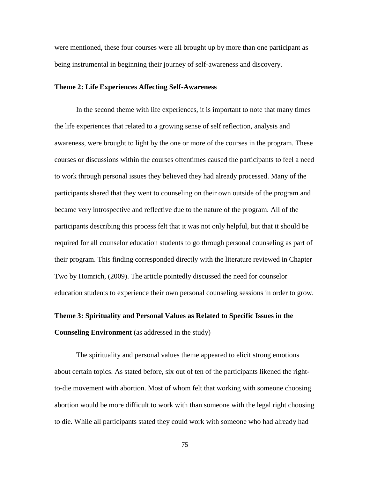were mentioned, these four courses were all brought up by more than one participant as being instrumental in beginning their journey of self-awareness and discovery.

## **Theme 2: Life Experiences Affecting Self-Awareness**

In the second theme with life experiences, it is important to note that many times the life experiences that related to a growing sense of self reflection, analysis and awareness, were brought to light by the one or more of the courses in the program. These courses or discussions within the courses oftentimes caused the participants to feel a need to work through personal issues they believed they had already processed. Many of the participants shared that they went to counseling on their own outside of the program and became very introspective and reflective due to the nature of the program. All of the participants describing this process felt that it was not only helpful, but that it should be required for all counselor education students to go through personal counseling as part of their program. This finding corresponded directly with the literature reviewed in Chapter Two by Homrich, (2009). The article pointedly discussed the need for counselor education students to experience their own personal counseling sessions in order to grow.

# **Theme 3: Spirituality and Personal Values as Related to Specific Issues in the Counseling Environment** (as addressed in the study)

The spirituality and personal values theme appeared to elicit strong emotions about certain topics. As stated before, six out of ten of the participants likened the rightto-die movement with abortion. Most of whom felt that working with someone choosing abortion would be more difficult to work with than someone with the legal right choosing to die. While all participants stated they could work with someone who had already had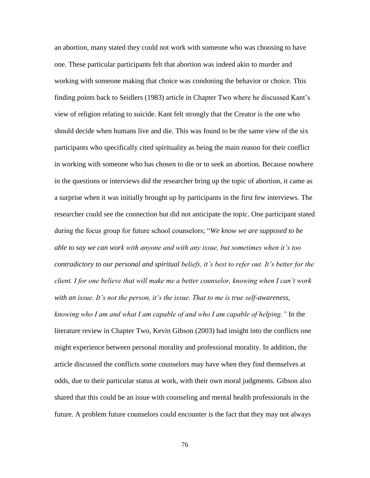an abortion, many stated they could not work with someone who was choosing to have one. These particular participants felt that abortion was indeed akin to murder and working with someone making that choice was condoning the behavior or choice. This finding points back to Seidlers (1983) article in Chapter Two where he discussed Kant's view of religion relating to suicide. Kant felt strongly that the Creator is the one who should decide when humans live and die. This was found to be the same view of the six participants who specifically cited spirituality as being the main reason for their conflict in working with someone who has chosen to die or to seek an abortion. Because nowhere in the questions or interviews did the researcher bring up the topic of abortion, it came as a surprise when it was initially brought up by participants in the first few interviews. The researcher could see the connection but did not anticipate the topic. One participant stated during the focus group for future school counselors; "We know we are supposed to be *able to say we can work with anyone and with any issue, but sometimes when it's too contradictory to our personal and spiritual beliefs, it's best to refer out. It's better for the client. I for one believe that will make me a better counselor, knowing when I can't work with an issue. It's not the person, it's the issue. That to me is true self-awareness, knowing who I am and what I am capable of and who I am capable of helping."* In the literature review in Chapter Two, Kevin Gibson (2003) had insight into the conflicts one might experience between personal morality and professional morality. In addition, the article discussed the conflicts some counselors may have when they find themselves at odds, due to their particular status at work, with their own moral judgments. Gibson also shared that this could be an issue with counseling and mental health professionals in the future. A problem future counselors could encounter is the fact that they may not always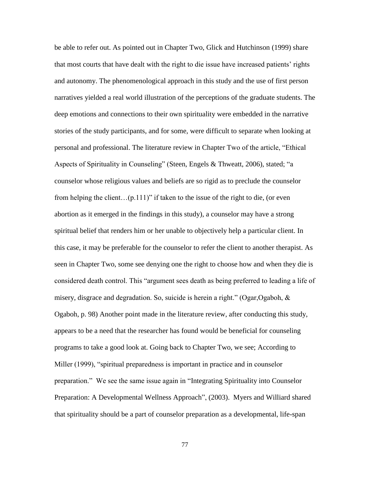be able to refer out. As pointed out in Chapter Two, Glick and Hutchinson (1999) share that most courts that have dealt with the right to die issue have increased patients' rights and autonomy. The phenomenological approach in this study and the use of first person narratives yielded a real world illustration of the perceptions of the graduate students. The deep emotions and connections to their own spirituality were embedded in the narrative stories of the study participants, and for some, were difficult to separate when looking at personal and professional. The literature review in Chapter Two of the article, "Ethical Aspects of Spirituality in Counseling" (Steen, Engels & Thweatt, 2006), stated; "a counselor whose religious values and beliefs are so rigid as to preclude the counselor from helping the client... $(p.111)$ " if taken to the issue of the right to die, (or even abortion as it emerged in the findings in this study), a counselor may have a strong spiritual belief that renders him or her unable to objectively help a particular client. In this case, it may be preferable for the counselor to refer the client to another therapist. As seen in Chapter Two, some see denying one the right to choose how and when they die is considered death control. This "argument sees death as being preferred to leading a life of misery, disgrace and degradation. So, suicide is herein a right." (Ogar, Ogaboh,  $\&$ Ogaboh, p. 98) Another point made in the literature review, after conducting this study, appears to be a need that the researcher has found would be beneficial for counseling programs to take a good look at. Going back to Chapter Two, we see; According to Miller (1999), "spiritual preparedness is important in practice and in counselor preparation." We see the same issue again in "Integrating Spirituality into Counselor Preparation: A Developmental Wellness Approach", (2003). Myers and Williard shared that spirituality should be a part of counselor preparation as a developmental, life-span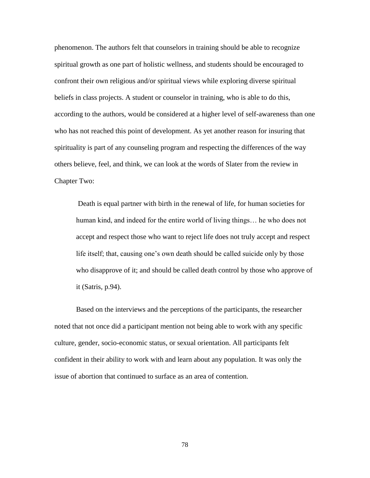phenomenon. The authors felt that counselors in training should be able to recognize spiritual growth as one part of holistic wellness, and students should be encouraged to confront their own religious and/or spiritual views while exploring diverse spiritual beliefs in class projects. A student or counselor in training, who is able to do this, according to the authors, would be considered at a higher level of self-awareness than one who has not reached this point of development. As yet another reason for insuring that spirituality is part of any counseling program and respecting the differences of the way others believe, feel, and think, we can look at the words of Slater from the review in Chapter Two:

Death is equal partner with birth in the renewal of life, for human societies for human kind, and indeed for the entire world of living things… he who does not accept and respect those who want to reject life does not truly accept and respect life itself; that, causing one's own death should be called suicide only by those who disapprove of it; and should be called death control by those who approve of it (Satris, p.94).

Based on the interviews and the perceptions of the participants, the researcher noted that not once did a participant mention not being able to work with any specific culture, gender, socio-economic status, or sexual orientation. All participants felt confident in their ability to work with and learn about any population. It was only the issue of abortion that continued to surface as an area of contention.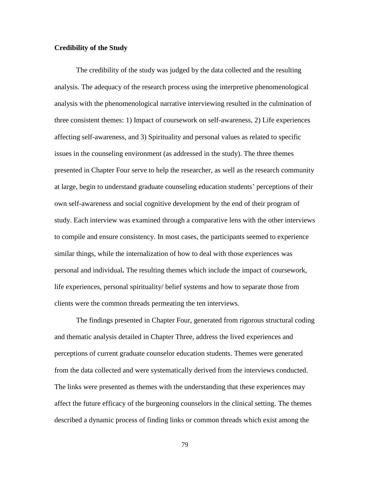# **Credibility of the Study**

The credibility of the study was judged by the data collected and the resulting analysis. The adequacy of the research process using the interpretive phenomenological analysis with the phenomenological narrative interviewing resulted in the culmination of three consistent themes: 1) Impact of coursework on self-awareness, 2) Life experiences affecting self-awareness, and 3) Spirituality and personal values as related to specific issues in the counseling environment (as addressed in the study). The three themes presented in Chapter Four serve to help the researcher, as well as the research community at large, begin to understand graduate counseling education students' perceptions of their own self-awareness and social cognitive development by the end of their program of study. Each interview was examined through a comparative lens with the other interviews to compile and ensure consistency. In most cases, the participants seemed to experience similar things, while the internalization of how to deal with those experiences was personal and individual**.** The resulting themes which include the impact of coursework, life experiences, personal spirituality/ belief systems and how to separate those from clients were the common threads permeating the ten interviews.

The findings presented in Chapter Four, generated from rigorous structural coding and thematic analysis detailed in Chapter Three, address the lived experiences and perceptions of current graduate counselor education students. Themes were generated from the data collected and were systematically derived from the interviews conducted. The links were presented as themes with the understanding that these experiences may affect the future efficacy of the burgeoning counselors in the clinical setting. The themes described a dynamic process of finding links or common threads which exist among the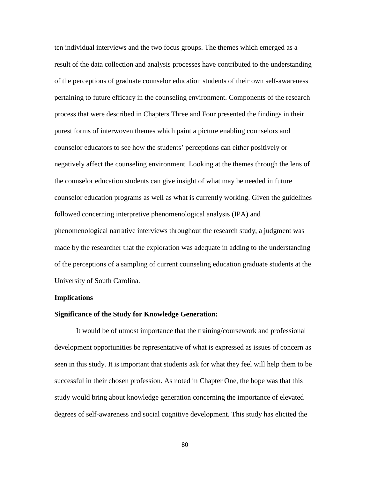ten individual interviews and the two focus groups. The themes which emerged as a result of the data collection and analysis processes have contributed to the understanding of the perceptions of graduate counselor education students of their own self-awareness pertaining to future efficacy in the counseling environment. Components of the research process that were described in Chapters Three and Four presented the findings in their purest forms of interwoven themes which paint a picture enabling counselors and counselor educators to see how the students' perceptions can either positively or negatively affect the counseling environment. Looking at the themes through the lens of the counselor education students can give insight of what may be needed in future counselor education programs as well as what is currently working. Given the guidelines followed concerning interpretive phenomenological analysis (IPA) and phenomenological narrative interviews throughout the research study, a judgment was made by the researcher that the exploration was adequate in adding to the understanding of the perceptions of a sampling of current counseling education graduate students at the University of South Carolina.

#### **Implications**

## **Significance of the Study for Knowledge Generation:**

It would be of utmost importance that the training/coursework and professional development opportunities be representative of what is expressed as issues of concern as seen in this study. It is important that students ask for what they feel will help them to be successful in their chosen profession. As noted in Chapter One, the hope was that this study would bring about knowledge generation concerning the importance of elevated degrees of self-awareness and social cognitive development. This study has elicited the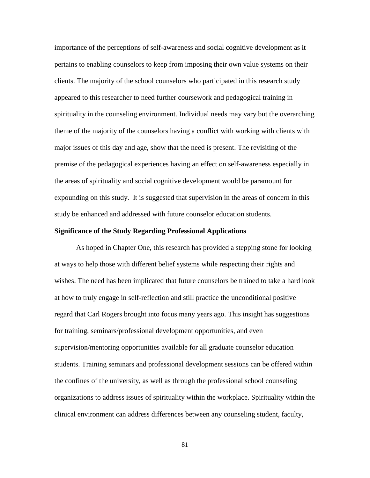importance of the perceptions of self-awareness and social cognitive development as it pertains to enabling counselors to keep from imposing their own value systems on their clients. The majority of the school counselors who participated in this research study appeared to this researcher to need further coursework and pedagogical training in spirituality in the counseling environment. Individual needs may vary but the overarching theme of the majority of the counselors having a conflict with working with clients with major issues of this day and age, show that the need is present. The revisiting of the premise of the pedagogical experiences having an effect on self-awareness especially in the areas of spirituality and social cognitive development would be paramount for expounding on this study. It is suggested that supervision in the areas of concern in this study be enhanced and addressed with future counselor education students.

# **Significance of the Study Regarding Professional Applications**

As hoped in Chapter One, this research has provided a stepping stone for looking at ways to help those with different belief systems while respecting their rights and wishes. The need has been implicated that future counselors be trained to take a hard look at how to truly engage in self-reflection and still practice the unconditional positive regard that Carl Rogers brought into focus many years ago. This insight has suggestions for training, seminars/professional development opportunities, and even supervision/mentoring opportunities available for all graduate counselor education students. Training seminars and professional development sessions can be offered within the confines of the university, as well as through the professional school counseling organizations to address issues of spirituality within the workplace. Spirituality within the clinical environment can address differences between any counseling student, faculty,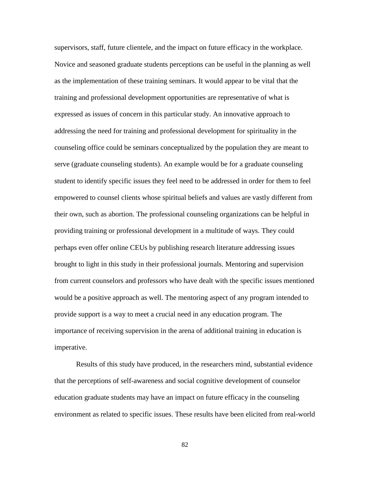supervisors, staff, future clientele, and the impact on future efficacy in the workplace. Novice and seasoned graduate students perceptions can be useful in the planning as well as the implementation of these training seminars. It would appear to be vital that the training and professional development opportunities are representative of what is expressed as issues of concern in this particular study. An innovative approach to addressing the need for training and professional development for spirituality in the counseling office could be seminars conceptualized by the population they are meant to serve (graduate counseling students). An example would be for a graduate counseling student to identify specific issues they feel need to be addressed in order for them to feel empowered to counsel clients whose spiritual beliefs and values are vastly different from their own, such as abortion. The professional counseling organizations can be helpful in providing training or professional development in a multitude of ways. They could perhaps even offer online CEUs by publishing research literature addressing issues brought to light in this study in their professional journals. Mentoring and supervision from current counselors and professors who have dealt with the specific issues mentioned would be a positive approach as well. The mentoring aspect of any program intended to provide support is a way to meet a crucial need in any education program. The importance of receiving supervision in the arena of additional training in education is imperative.

Results of this study have produced, in the researchers mind, substantial evidence that the perceptions of self-awareness and social cognitive development of counselor education graduate students may have an impact on future efficacy in the counseling environment as related to specific issues. These results have been elicited from real-world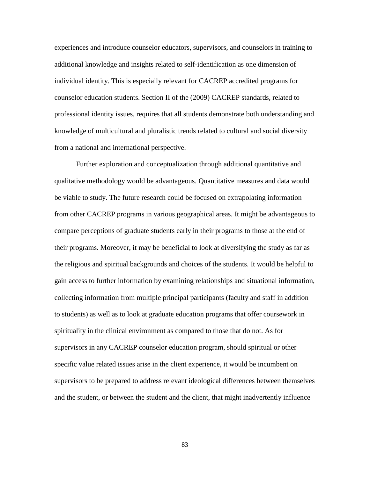experiences and introduce counselor educators, supervisors, and counselors in training to additional knowledge and insights related to self-identification as one dimension of individual identity. This is especially relevant for CACREP accredited programs for counselor education students. Section II of the (2009) CACREP standards, related to professional identity issues, requires that all students demonstrate both understanding and knowledge of multicultural and pluralistic trends related to cultural and social diversity from a national and international perspective.

Further exploration and conceptualization through additional quantitative and qualitative methodology would be advantageous. Quantitative measures and data would be viable to study. The future research could be focused on extrapolating information from other CACREP programs in various geographical areas. It might be advantageous to compare perceptions of graduate students early in their programs to those at the end of their programs. Moreover, it may be beneficial to look at diversifying the study as far as the religious and spiritual backgrounds and choices of the students. It would be helpful to gain access to further information by examining relationships and situational information, collecting information from multiple principal participants (faculty and staff in addition to students) as well as to look at graduate education programs that offer coursework in spirituality in the clinical environment as compared to those that do not. As for supervisors in any CACREP counselor education program, should spiritual or other specific value related issues arise in the client experience, it would be incumbent on supervisors to be prepared to address relevant ideological differences between themselves and the student, or between the student and the client, that might inadvertently influence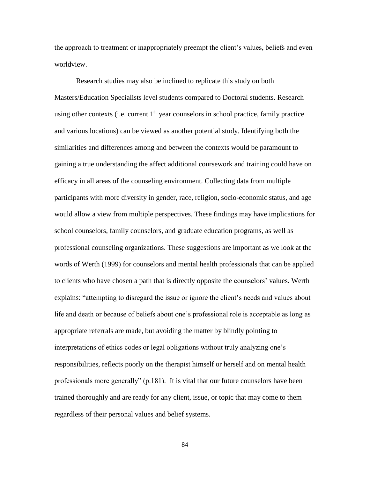the approach to treatment or inappropriately preempt the client's values, beliefs and even worldview.

Research studies may also be inclined to replicate this study on both Masters/Education Specialists level students compared to Doctoral students. Research using other contexts (i.e. current  $1<sup>st</sup>$  year counselors in school practice, family practice and various locations) can be viewed as another potential study. Identifying both the similarities and differences among and between the contexts would be paramount to gaining a true understanding the affect additional coursework and training could have on efficacy in all areas of the counseling environment. Collecting data from multiple participants with more diversity in gender, race, religion, socio-economic status, and age would allow a view from multiple perspectives. These findings may have implications for school counselors, family counselors, and graduate education programs, as well as professional counseling organizations. These suggestions are important as we look at the words of Werth (1999) for counselors and mental health professionals that can be applied to clients who have chosen a path that is directly opposite the counselors' values. Werth explains: "attempting to disregard the issue or ignore the client's needs and values about life and death or because of beliefs about one's professional role is acceptable as long as appropriate referrals are made, but avoiding the matter by blindly pointing to interpretations of ethics codes or legal obligations without truly analyzing one's responsibilities, reflects poorly on the therapist himself or herself and on mental health professionals more generally"  $(p.181)$ . It is vital that our future counselors have been trained thoroughly and are ready for any client, issue, or topic that may come to them regardless of their personal values and belief systems.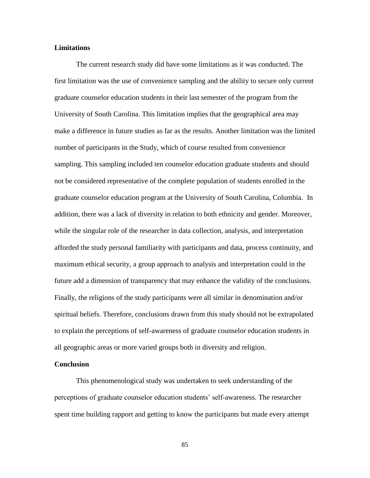# **Limitations**

The current research study did have some limitations as it was conducted. The first limitation was the use of convenience sampling and the ability to secure only current graduate counselor education students in their last semester of the program from the University of South Carolina. This limitation implies that the geographical area may make a difference in future studies as far as the results. Another limitation was the limited number of participants in the Study, which of course resulted from convenience sampling. This sampling included ten counselor education graduate students and should not be considered representative of the complete population of students enrolled in the graduate counselor education program at the University of South Carolina, Columbia. In addition, there was a lack of diversity in relation to both ethnicity and gender. Moreover, while the singular role of the researcher in data collection, analysis, and interpretation afforded the study personal familiarity with participants and data, process continuity, and maximum ethical security, a group approach to analysis and interpretation could in the future add a dimension of transparency that may enhance the validity of the conclusions. Finally, the religions of the study participants were all similar in denomination and/or spiritual beliefs. Therefore, conclusions drawn from this study should not be extrapolated to explain the perceptions of self-awareness of graduate counselor education students in all geographic areas or more varied groups both in diversity and religion.

#### **Conclusion**

This phenomenological study was undertaken to seek understanding of the perceptions of graduate counselor education students' self-awareness. The researcher spent time building rapport and getting to know the participants but made every attempt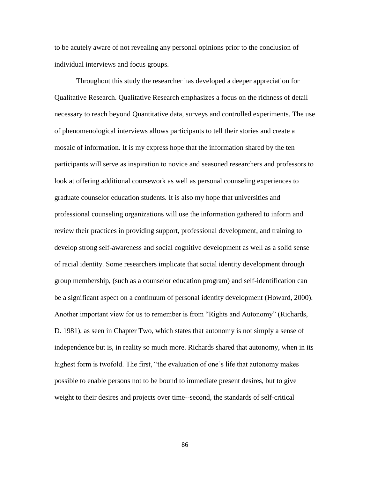to be acutely aware of not revealing any personal opinions prior to the conclusion of individual interviews and focus groups.

Throughout this study the researcher has developed a deeper appreciation for Qualitative Research. Qualitative Research emphasizes a focus on the richness of detail necessary to reach beyond Quantitative data, surveys and controlled experiments. The use of phenomenological interviews allows participants to tell their stories and create a mosaic of information. It is my express hope that the information shared by the ten participants will serve as inspiration to novice and seasoned researchers and professors to look at offering additional coursework as well as personal counseling experiences to graduate counselor education students. It is also my hope that universities and professional counseling organizations will use the information gathered to inform and review their practices in providing support, professional development, and training to develop strong self-awareness and social cognitive development as well as a solid sense of racial identity. Some researchers implicate that social identity development through group membership, (such as a counselor education program) and self-identification can be a significant aspect on a continuum of personal identity development (Howard, 2000). Another important view for us to remember is from "Rights and Autonomy" (Richards, D. 1981), as seen in Chapter Two, which states that autonomy is not simply a sense of independence but is, in reality so much more. Richards shared that autonomy, when in its highest form is twofold. The first, "the evaluation of one's life that autonomy makes possible to enable persons not to be bound to immediate present desires, but to give weight to their desires and projects over time--second, the standards of self-critical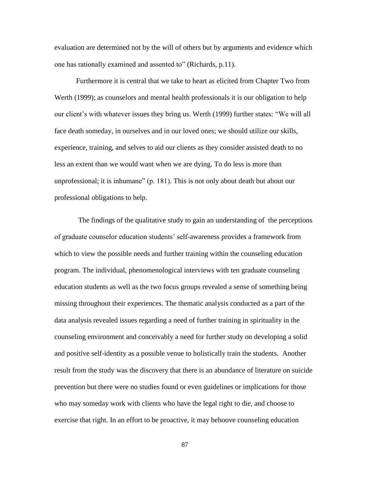evaluation are determined not by the will of others but by arguments and evidence which one has rationally examined and assented to" (Richards, p.11).

Furthermore it is central that we take to heart as elicited from Chapter Two from Werth (1999); as counselors and mental health professionals it is our obligation to help our client's with whatever issues they bring us. Werth (1999) further states: "We will all face death someday, in ourselves and in our loved ones; we should utilize our skills, experience, training, and selves to aid our clients as they consider assisted death to no less an extent than we would want when we are dying. To do less is more than unprofessional; it is inhumane"  $(p. 181)$ . This is not only about death but about our professional obligations to help.

The findings of the qualitative study to gain an understanding of the perceptions of graduate counselor education students' self-awareness provides a framework from which to view the possible needs and further training within the counseling education program. The individual, phenomenological interviews with ten graduate counseling education students as well as the two focus groups revealed a sense of something being missing throughout their experiences. The thematic analysis conducted as a part of the data analysis revealed issues regarding a need of further training in spirituality in the counseling environment and conceivably a need for further study on developing a solid and positive self-identity as a possible venue to holistically train the students. Another result from the study was the discovery that there is an abundance of literature on suicide prevention but there were no studies found or even guidelines or implications for those who may someday work with clients who have the legal right to die, and choose to exercise that right. In an effort to be proactive, it may behoove counseling education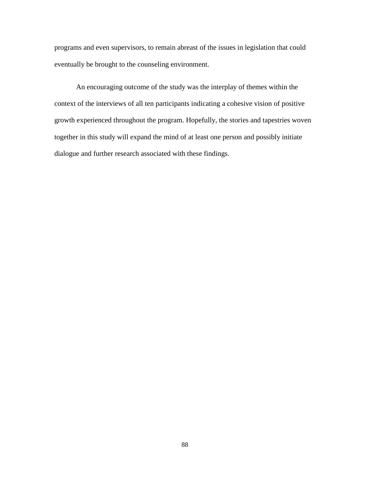programs and even supervisors, to remain abreast of the issues in legislation that could eventually be brought to the counseling environment.

An encouraging outcome of the study was the interplay of themes within the context of the interviews of all ten participants indicating a cohesive vision of positive growth experienced throughout the program. Hopefully, the stories and tapestries woven together in this study will expand the mind of at least one person and possibly initiate dialogue and further research associated with these findings.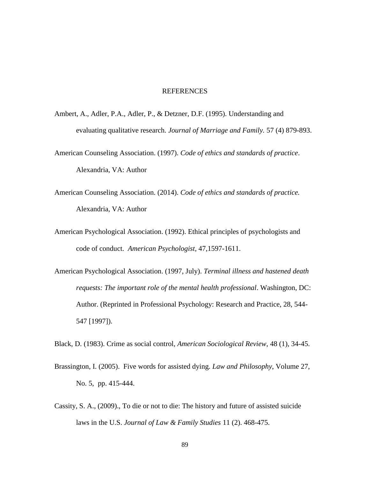## REFERENCES

- Ambert, A., Adler, P.A., Adler, P., & Detzner, D.F. (1995). Understanding and evaluating qualitative research. *Journal of Marriage and Family.* 57 (4) 879-893.
- American Counseling Association. (1997). *Code of ethics and standards of practice*. Alexandria, VA: Author
- American Counseling Association. (2014). *Code of ethics and standards of practice.*  Alexandria, VA: Author
- American Psychological Association. (1992). Ethical principles of psychologists and code of conduct. *American Psychologist*, 47,1597-1611.
- American Psychological Association. (1997, July). *Terminal illness and hastened death requests: The important role of the mental health professional*. Washington, DC: Author. (Reprinted in Professional Psychology: Research and Practice, 28, 544- 547 [1997]).

Black, D. (1983). Crime as social control, *American Sociological Review*, 48 (1), 34-45.

- Brassington, I. (2005). Five words for assisted dying. *Law and Philosophy*, Volume 27, No. 5, pp. 415-444.
- Cassity, S. A., (2009)., To die or not to die: The history and future of assisted suicide laws in the U.S. *Journal of Law & Family Studies* 11 (2). 468-475.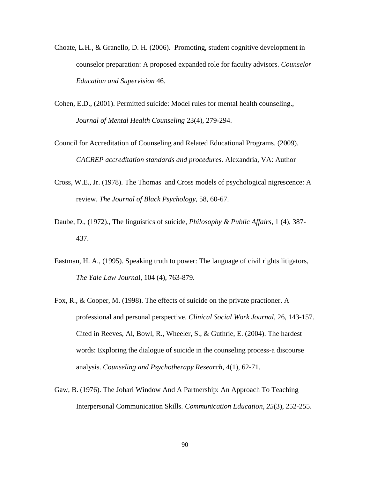- Choate, L.H., & Granello, D. H. (2006). Promoting, student cognitive development in counselor preparation: A proposed expanded role for faculty advisors. *Counselor Education and Supervision* 46.
- Cohen, E.D., (2001). Permitted suicide: Model rules for mental health counseling., *Journal of Mental Health Counseling* 23(4), 279-294.
- Council for Accreditation of Counseling and Related Educational Programs. (2009). *CACREP accreditation standards and procedures.* Alexandria, VA: Author
- Cross, W.E., Jr. (1978). The Thomas and Cross models of psychological nigrescence: A review. *The Journal of Black Psychology,* 58, 60-67.
- Daube, D., (1972)., The linguistics of suicide, *Philosophy & Public Affairs*, 1 (4), 387- 437.
- Eastman, H. A., (1995). Speaking truth to power: The language of civil rights litigators, *The Yale Law Journa*l, 104 (4), 763-879.
- Fox, R., & Cooper, M. (1998). The effects of suicide on the private practioner. A professional and personal perspective. *Clinical Social Work Journal,* 26, 143-157. Cited in Reeves, Al, Bowl, R., Wheeler, S., & Guthrie, E. (2004). The hardest words: Exploring the dialogue of suicide in the counseling process-a discourse analysis. *Counseling and Psychotherapy Research,* 4(1), 62-71.
- [Gaw, B. \(1976\). The Johari Window And A Partnership: An Approach To Teaching](http://www.bibme.org/)  [Interpersonal Communication Skills.](http://www.bibme.org/) *Communication Education*, *25*(3), 252-255.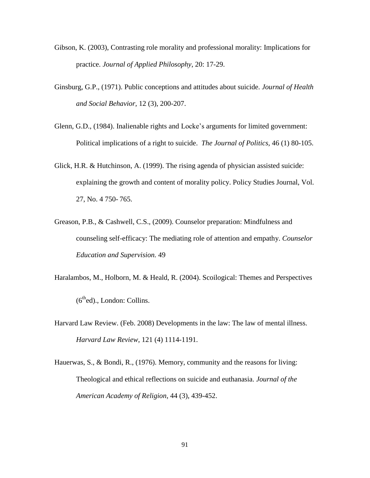- Gibson, K. (2003), Contrasting role morality and professional morality: Implications for practice. *Journal of Applied Philosophy*, 20: 17-29.
- Ginsburg, G.P., (1971). Public conceptions and attitudes about suicide. *Journal of Health and Social Behavior,* 12 (3), 200-207.
- Glenn, G.D., (1984). Inalienable rights and Locke's arguments for limited government: Political implications of a right to suicide. *The Journal of Politics,* 46 (1) 80-105.
- Glick, H.R. & Hutchinson, A. (1999). The rising agenda of physician assisted suicide: explaining the growth and content of morality policy. Policy Studies Journal, Vol. 27, No. 4 750- 765.
- Greason, P.B., & Cashwell, C.S., (2009). Counselor preparation: Mindfulness and counseling self-efficacy: The mediating role of attention and empathy. *Counselor Education and Supervision.* 49
- Haralambos, M., Holborn, M. & Heald, R. (2004). Scoilogical: Themes and Perspectives  $(6<sup>th</sup>ed)$ ., London: Collins.
- Harvard Law Review. (Feb. 2008) Developments in the law: The law of mental illness. *Harvard Law Review*, 121 (4) 1114-1191.
- Hauerwas, S., & Bondi, R., (1976). Memory, community and the reasons for living: Theological and ethical reflections on suicide and euthanasia. *Journal of the American Academy of Religion*, 44 (3), 439-452.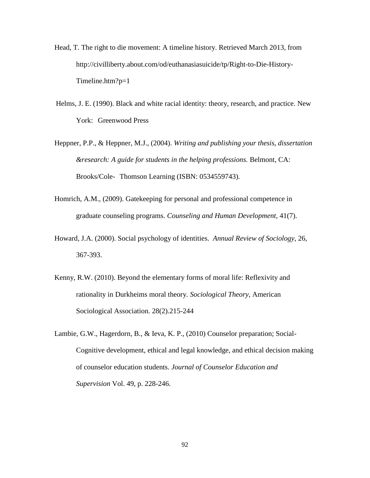- Head, T. The right to die movement: A timeline history. Retrieved March 2013, from http://civilliberty.about.com/od/euthanasiasuicide/tp/Right-to-Die-History-Timeline.htm?p=1
- Helms, J. E. (1990). Black and white racial identity: theory, research, and practice. New York: Greenwood Press
- Heppner, P.P., & Heppner, M.J., (2004). *Writing and publishing your thesis, dissertation &research: A guide for students in the helping professions.* Belmont, CA: Brooks/Cole- Thomson Learning (ISBN: 0534559743).
- Homrich, A.M., (2009). Gatekeeping for personal and professional competence in graduate counseling programs. *Counseling and Human Development,* 41(7).
- Howard, J.A. (2000). Social psychology of identities. *Annual Review of Sociology,* 26, 367-393.
- Kenny, R.W. (2010). Beyond the elementary forms of moral life: Reflexivity and rationality in Durkheims moral theory*. Sociological Theory*, American Sociological Association. 28(2).215-244
- Lambie, G.W., Hagerdorn, B., & Ieva, K. P., (2010) Counselor preparation; Social-Cognitive development, ethical and legal knowledge, and ethical decision making of counselor education students. *Journal of Counselor Education and Supervision* Vol. 49, p. 228-246.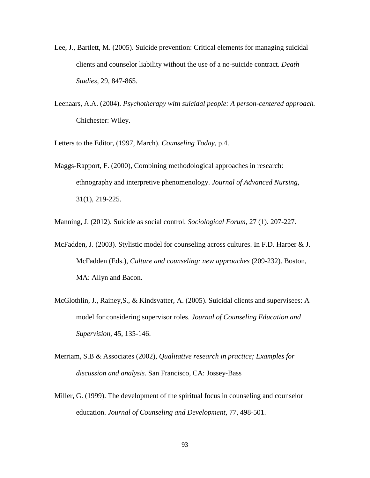- Lee, J., Bartlett, M. (2005). Suicide prevention: Critical elements for managing suicidal clients and counselor liability without the use of a no-suicide contract. *Death Studies,* 29, 847-865.
- Leenaars, A.A. (2004). *Psychotherapy with suicidal people: A person-centered approach.*  Chichester: Wiley.

Letters to the Editor, (1997, March). *Counseling Today*, p.4.

Maggs-Rapport, F. (2000), Combining methodological approaches in research: ethnography and interpretive phenomenology. *Journal of Advanced Nursing,*  31(1), 219-225.

Manning, J. (2012). Suicide as social control, *Sociological Forum,* 27 (1). 207-227.

- McFadden, J. (2003). Stylistic model for counseling across cultures. In F.D. Harper & J. McFadden (Eds.), *Culture and counseling: new approaches* (209-232). Boston, MA: Allyn and Bacon.
- McGlothlin, J., Rainey,S., & Kindsvatter, A. (2005). Suicidal clients and supervisees: A model for considering supervisor roles. *Journal of Counseling Education and Supervision,* 45, 135-146.
- Merriam, S.B & Associates (2002), *Qualitative research in practice; Examples for discussion and analysis.* San Francisco, CA: Jossey-Bass
- Miller, G. (1999). The development of the spiritual focus in counseling and counselor education. *Journal of Counseling and Development*, 77, 498-501.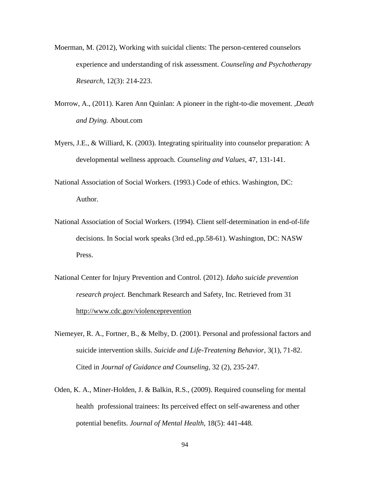- Moerman, M. (2012), Working with suicidal clients: The person-centered counselors experience and understanding of risk assessment. *Counseling and Psychotherapy Research,* 12(3): 214-223.
- Morrow, A., (2011). Karen Ann Quinlan: A pioneer in the right-to-die movement. ,*Death and Dying.* About.com
- Myers, J.E., & Williard, K. (2003). Integrating spirituality into counselor preparation: A developmental wellness approach. *Counseling and Values*, 47, 131-141.
- National Association of Social Workers. (1993.) Code of ethics. Washington, DC: Author.
- National Association of Social Workers. (1994). Client self-determination in end-of-life decisions. In Social work speaks (3rd ed.,pp.58-61). Washington, DC: NASW Press.
- National Center for Injury Prevention and Control. (2012). *Idaho suicide prevention research project.* Benchmark Research and Safety, Inc. Retrieved from 31 <http://www.cdc.gov/violenceprevention>
- Niemeyer, R. A., Fortner, B., & Melby, D. (2001). Personal and professional factors and suicide intervention skills. *Suicide and Life-Treatening Behavior,* 3(1), 71-82. Cited in *Journal of Guidance and Counseling,* 32 (2), 235-247.
- Oden, K. A., Miner-Holden, J. & Balkin, R.S., (2009). Required counseling for mental health professional trainees: Its perceived effect on self-awareness and other potential benefits. *Journal of Mental Health,* 18(5): 441-448.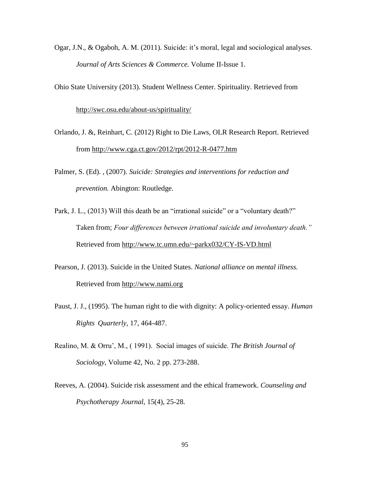Ogar, J.N., & Ogaboh, A. M. (2011). Suicide: it's moral, legal and sociological analyses. *Journal of Arts Sciences & Commerce.* Volume II-Issue 1.

Ohio State University (2013). Student Wellness Center. Spirituality. Retrieved from

<http://swc.osu.edu/about-us/spirituality/>

- Orlando, J. &, Reinhart, C. (2012) Right to Die Laws, OLR Research Report. Retrieved from <http://www.cga.ct.gov/2012/rpt/2012-R-0477.htm>
- Palmer, S. (Ed). , (2007). *Suicide: Strategies and interventions for reduction and prevention.* Abington: Routledge.
- Park, J. L., (2013) Will this death be an "irrational suicide" or a "voluntary death?" Taken from; *Four differences between irrational suicide and involuntary death."*  Retrieved from <http://www.tc.umn.edu/~parkx032/CY-IS-VD.html>
- Pearson, J. (2013). Suicide in the United States. *National alliance on mental illness.*  Retrieved from [http://www.nami.org](http://www.nami.org/)
- Paust, J. J., (1995). The human right to die with dignity: A policy-oriented essay. *Human Rights Quarterly*, 17, 464-487.
- Realino, M. & Orru', M., ( 1991). Social images of suicide. *The British Journal of Sociology*, Volume 42, No. 2 pp. 273-288.
- Reeves, A. (2004). Suicide risk assessment and the ethical framework. *Counseling and Psychotherapy Journal,* 15(4), 25-28.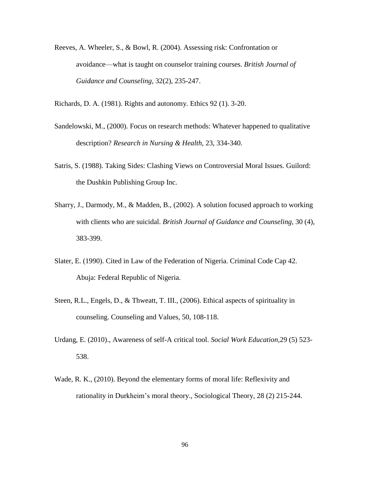Reeves, A. Wheeler, S., & Bowl, R. (2004). Assessing risk: Confrontation or avoidance—what is taught on counselor training courses. *British Journal of Guidance and Counseling,* 32(2), 235-247.

Richards, D. A. (1981). Rights and autonomy. Ethics 92 (1). 3-20.

- Sandelowski, M., (2000). Focus on research methods: Whatever happened to qualitative description? *Research in Nursing & Health,* 23, 334-340.
- Satris, S. (1988). Taking Sides: Clashing Views on Controversial Moral Issues. Guilord: the Dushkin Publishing Group Inc.
- Sharry, J., Darmody, M., & Madden, B., (2002). A solution focused approach to working with clients who are suicidal. *British Journal of Guidance and Counseling,* 30 (4), 383-399.
- Slater, E. (1990). Cited in Law of the Federation of Nigeria. Criminal Code Cap 42. Abuja: Federal Republic of Nigeria.
- Steen, R.L., Engels, D., & Thweatt, T. III., (2006). Ethical aspects of spirituality in counseling. Counseling and Values, 50, 108-118.
- Urdang, E. (2010)., Awareness of self-A critical tool. *Social Work Education,*29 (5) 523- 538.
- Wade, R. K., (2010). Beyond the elementary forms of moral life: Reflexivity and rationality in Durkheim's moral theory., Sociological Theory, 28 (2) 215-244.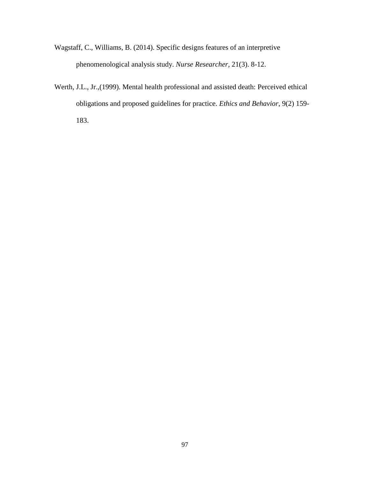- Wagstaff, C., Williams, B. (2014). Specific designs features of an interpretive phenomenological analysis study. *Nurse Researcher,* 21(3). 8-12.
- Werth, J.L., Jr.,(1999). Mental health professional and assisted death: Perceived ethical obligations and proposed guidelines for practice. *Ethics and Behavior*, 9(2) 159- 183.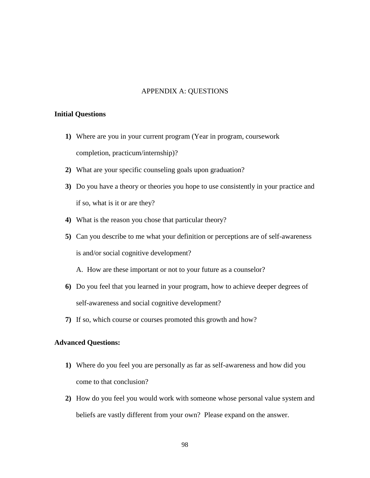## APPENDIX A: QUESTIONS

## **Initial Questions**

- **1)** Where are you in your current program (Year in program, coursework completion, practicum/internship)?
- **2)** What are your specific counseling goals upon graduation?
- **3)** Do you have a theory or theories you hope to use consistently in your practice and if so, what is it or are they?
- **4)** What is the reason you chose that particular theory?
- **5)** Can you describe to me what your definition or perceptions are of self-awareness is and/or social cognitive development?
	- A. How are these important or not to your future as a counselor?
- **6)** Do you feel that you learned in your program, how to achieve deeper degrees of self-awareness and social cognitive development?
- **7)** If so, which course or courses promoted this growth and how?

## **Advanced Questions:**

- **1)** Where do you feel you are personally as far as self-awareness and how did you come to that conclusion?
- **2)** How do you feel you would work with someone whose personal value system and beliefs are vastly different from your own? Please expand on the answer.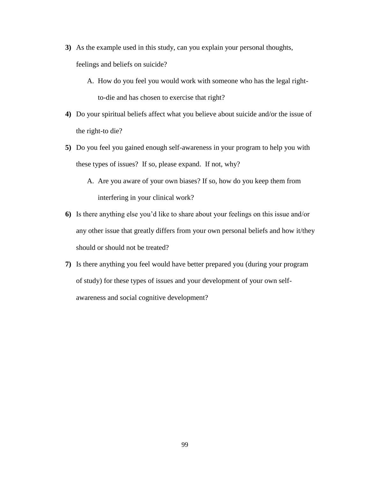- **3)** As the example used in this study, can you explain your personal thoughts, feelings and beliefs on suicide?
	- A. How do you feel you would work with someone who has the legal rightto-die and has chosen to exercise that right?
- **4)** Do your spiritual beliefs affect what you believe about suicide and/or the issue of the right-to die?
- **5)** Do you feel you gained enough self-awareness in your program to help you with these types of issues? If so, please expand. If not, why?
	- A. Are you aware of your own biases? If so, how do you keep them from interfering in your clinical work?
- **6)** Is there anything else you'd like to share about your feelings on this issue and/or any other issue that greatly differs from your own personal beliefs and how it/they should or should not be treated?
- **7)** Is there anything you feel would have better prepared you (during your program of study) for these types of issues and your development of your own selfawareness and social cognitive development?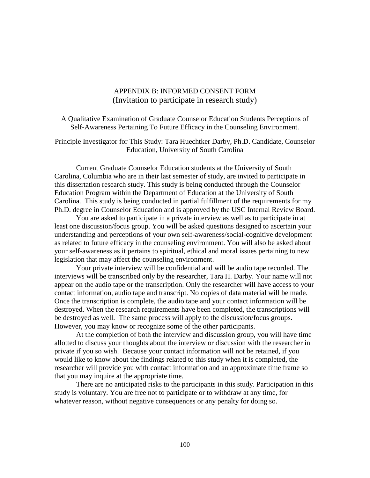## APPENDIX B: INFORMED CONSENT FORM (Invitation to participate in research study)

A Qualitative Examination of Graduate Counselor Education Students Perceptions of Self-Awareness Pertaining To Future Efficacy in the Counseling Environment.

Principle Investigator for This Study: Tara Huechtker Darby, Ph.D. Candidate, Counselor Education, University of South Carolina

Current Graduate Counselor Education students at the University of South Carolina, Columbia who are in their last semester of study, are invited to participate in this dissertation research study. This study is being conducted through the Counselor Education Program within the Department of Education at the University of South Carolina. This study is being conducted in partial fulfillment of the requirements for my Ph.D. degree in Counselor Education and is approved by the USC Internal Review Board.

You are asked to participate in a private interview as well as to participate in at least one discussion/focus group. You will be asked questions designed to ascertain your understanding and perceptions of your own self-awareness/social-cognitive development as related to future efficacy in the counseling environment. You will also be asked about your self-awareness as it pertains to spiritual, ethical and moral issues pertaining to new legislation that may affect the counseling environment.

Your private interview will be confidential and will be audio tape recorded. The interviews will be transcribed only by the researcher, Tara H. Darby. Your name will not appear on the audio tape or the transcription. Only the researcher will have access to your contact information, audio tape and transcript. No copies of data material will be made. Once the transcription is complete, the audio tape and your contact information will be destroyed. When the research requirements have been completed, the transcriptions will be destroyed as well. The same process will apply to the discussion/focus groups. However, you may know or recognize some of the other participants.

At the completion of both the interview and discussion group, you will have time allotted to discuss your thoughts about the interview or discussion with the researcher in private if you so wish. Because your contact information will not be retained, if you would like to know about the findings related to this study when it is completed, the researcher will provide you with contact information and an approximate time frame so that you may inquire at the appropriate time.

There are no anticipated risks to the participants in this study. Participation in this study is voluntary. You are free not to participate or to withdraw at any time, for whatever reason, without negative consequences or any penalty for doing so.